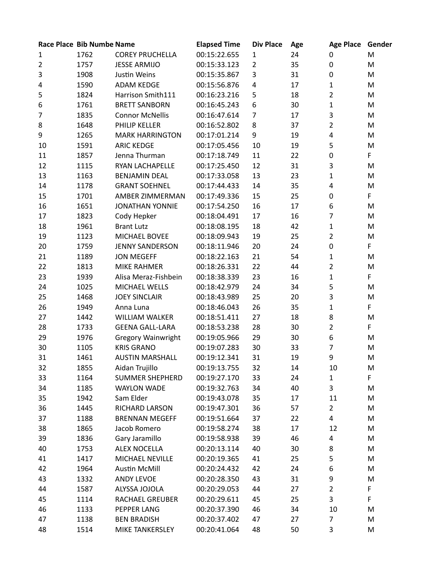|                | Race Place Bib Numbe Name |                           | <b>Elapsed Time</b> | <b>Div Place</b> | Age | <b>Age Place</b> | Gender |
|----------------|---------------------------|---------------------------|---------------------|------------------|-----|------------------|--------|
| $\mathbf{1}$   | 1762                      | <b>COREY PRUCHELLA</b>    | 00:15:22.655        | 1                | 24  | 0                | M      |
| $\overline{2}$ | 1757                      | <b>JESSE ARMIJO</b>       | 00:15:33.123        | 2                | 35  | $\mathbf 0$      | M      |
| $\mathsf 3$    | 1908                      | Justin Weins              | 00:15:35.867        | 3                | 31  | 0                | M      |
| 4              | 1590                      | <b>ADAM KEDGE</b>         | 00:15:56.876        | $\overline{4}$   | 17  | $\mathbf{1}$     | M      |
| 5              | 1824                      | Harrison Smith111         | 00:16:23.216        | 5                | 18  | $\overline{2}$   | M      |
| 6              | 1761                      | <b>BRETT SANBORN</b>      | 00:16:45.243        | 6                | 30  | 1                | M      |
| $\overline{7}$ | 1835                      | <b>Connor McNellis</b>    | 00:16:47.614        | $\overline{7}$   | 17  | 3                | M      |
| 8              | 1648                      | PHILIP KELLER             | 00:16:52.802        | 8                | 37  | 2                | M      |
| 9              | 1265                      | <b>MARK HARRINGTON</b>    | 00:17:01.214        | 9                | 19  | 4                | M      |
| 10             | 1591                      | <b>ARIC KEDGE</b>         | 00:17:05.456        | 10               | 19  | 5                | M      |
| 11             | 1857                      | Jenna Thurman             | 00:17:18.749        | 11               | 22  | $\mathbf 0$      | F      |
| 12             | 1115                      | RYAN LACHAPELLE           | 00:17:25.450        | 12               | 31  | 3                | M      |
| 13             | 1163                      | <b>BENJAMIN DEAL</b>      | 00:17:33.058        | 13               | 23  | 1                | M      |
| 14             | 1178                      | <b>GRANT SOEHNEL</b>      | 00:17:44.433        | 14               | 35  | 4                | M      |
| 15             | 1701                      | AMBER ZIMMERMAN           | 00:17:49.336        | 15               | 25  | $\mathbf 0$      | F      |
| 16             | 1651                      | <b>JONATHAN YONNIE</b>    | 00:17:54.250        | 16               | 17  | 6                | M      |
| 17             | 1823                      | Cody Hepker               | 00:18:04.491        | 17               | 16  | $\overline{7}$   | M      |
| 18             | 1961                      | <b>Brant Lutz</b>         | 00:18:08.195        | 18               | 42  | $\mathbf{1}$     | M      |
| 19             | 1123                      | MICHAEL BOVEE             | 00:18:09.943        | 19               | 25  | $\overline{2}$   | M      |
| 20             | 1759                      | <b>JENNY SANDERSON</b>    | 00:18:11.946        | 20               | 24  | 0                | F      |
| 21             | 1189                      | <b>JON MEGEFF</b>         | 00:18:22.163        | 21               | 54  | 1                | M      |
| 22             | 1813                      | <b>MIKE RAHMER</b>        | 00:18:26.331        | 22               | 44  | $\overline{2}$   | M      |
| 23             | 1939                      | Alisa Meraz-Fishbein      | 00:18:38.339        | 23               | 16  | 1                | F      |
| 24             | 1025                      | MICHAEL WELLS             | 00:18:42.979        | 24               | 34  | 5                | M      |
| 25             | 1468                      | <b>JOEY SINCLAIR</b>      | 00:18:43.989        | 25               | 20  | 3                | M      |
| 26             | 1949                      | Anna Luna                 | 00:18:46.043        | 26               | 35  | $\mathbf{1}$     | F      |
| 27             | 1442                      | <b>WILLIAM WALKER</b>     | 00:18:51.411        | 27               | 18  | 8                | M      |
| 28             | 1733                      | <b>GEENA GALL-LARA</b>    | 00:18:53.238        | 28               | 30  | $\overline{2}$   | F      |
| 29             | 1976                      | <b>Gregory Wainwright</b> | 00:19:05.966        | 29               | 30  | 6                | M      |
| 30             | 1105                      | <b>KRIS GRANO</b>         | 00:19:07.283        | 30               | 33  | 7                | M      |
| 31             | 1461                      | <b>AUSTIN MARSHALL</b>    | 00:19:12.341        | 31               | 19  | 9                | M      |
| 32             | 1855                      | Aidan Trujillo            | 00:19:13.755        | 32               | 14  | 10               | M      |
| 33             | 1164                      | <b>SUMMER SHEPHERD</b>    | 00:19:27.170        | 33               | 24  | 1                | F      |
| 34             | 1185                      | <b>WAYLON WADE</b>        | 00:19:32.763        | 34               | 40  | 3                | M      |
| 35             | 1942                      | Sam Elder                 | 00:19:43.078        | 35               | 17  | 11               | M      |
| 36             | 1445                      | RICHARD LARSON            | 00:19:47.301        | 36               | 57  | $\overline{2}$   | M      |
| 37             | 1188                      | <b>BRENNAN MEGEFF</b>     | 00:19:51.664        | 37               | 22  | 4                | M      |
| 38             | 1865                      | Jacob Romero              | 00:19:58.274        | 38               | 17  | 12               | M      |
| 39             | 1836                      | Gary Jaramillo            | 00:19:58.938        | 39               | 46  | 4                | M      |
| 40             | 1753                      | <b>ALEX NOCELLA</b>       | 00:20:13.114        | 40               | 30  | 8                | M      |
| 41             | 1417                      | MICHAEL NEVILLE           | 00:20:19.365        | 41               | 25  | 5                | M      |
| 42             | 1964                      | <b>Austin McMill</b>      | 00:20:24.432        | 42               | 24  | 6                | M      |
| 43             | 1332                      | <b>ANDY LEVOE</b>         | 00:20:28.350        | 43               | 31  | 9                | M      |
| 44             | 1587                      | ALYSSA JOJOLA             | 00:20:29.053        | 44               | 27  | $\overline{2}$   | F      |
| 45             | 1114                      | <b>RACHAEL GREUBER</b>    | 00:20:29.611        | 45               | 25  | 3                | F      |
| 46             | 1133                      | PEPPER LANG               | 00:20:37.390        | 46               | 34  | 10               | M      |
| 47             | 1138                      | <b>BEN BRADISH</b>        | 00:20:37.402        | 47               | 27  | $\overline{7}$   | M      |
| 48             | 1514                      | MIKE TANKERSLEY           | 00:20:41.064        | 48               | 50  | 3                | M      |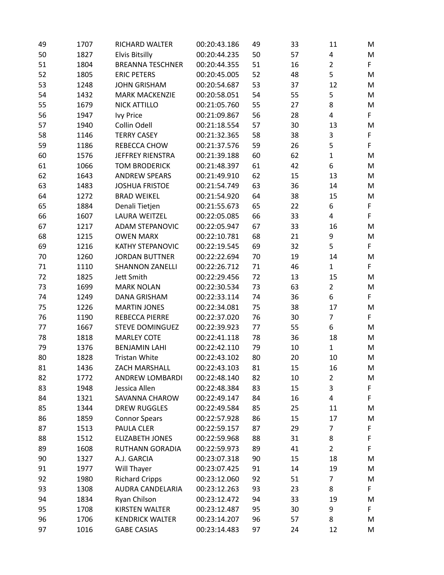| 49 | 1707 | RICHARD WALTER          | 00:20:43.186 | 49 | 33 | 11             | M  |
|----|------|-------------------------|--------------|----|----|----------------|----|
| 50 | 1827 | <b>Elvis Bitsilly</b>   | 00:20:44.235 | 50 | 57 | 4              | M  |
| 51 | 1804 | <b>BREANNA TESCHNER</b> | 00:20:44.355 | 51 | 16 | $\overline{2}$ | F. |
| 52 | 1805 | <b>ERIC PETERS</b>      | 00:20:45.005 | 52 | 48 | 5              | M  |
| 53 | 1248 | <b>JOHN GRISHAM</b>     | 00:20:54.687 | 53 | 37 | 12             | M  |
| 54 | 1432 | <b>MARK MACKENZIE</b>   | 00:20:58.051 | 54 | 55 | 5              | M  |
| 55 | 1679 | <b>NICK ATTILLO</b>     | 00:21:05.760 | 55 | 27 | 8              | M  |
| 56 | 1947 | <b>Ivy Price</b>        | 00:21:09.867 | 56 | 28 | 4              | F  |
| 57 | 1940 | Collin Odell            | 00:21:18.554 | 57 | 30 | 13             | M  |
| 58 | 1146 | <b>TERRY CASEY</b>      | 00:21:32.365 | 58 | 38 | 3              | F  |
| 59 | 1186 | REBECCA CHOW            | 00:21:37.576 | 59 | 26 | 5              | F  |
| 60 | 1576 | JEFFREY RIENSTRA        | 00:21:39.188 | 60 | 62 | 1              | M  |
| 61 | 1066 | <b>TOM BRODERICK</b>    | 00:21:48.397 | 61 | 42 | 6              | M  |
| 62 | 1643 | <b>ANDREW SPEARS</b>    | 00:21:49.910 | 62 | 15 | 13             | M  |
| 63 | 1483 | <b>JOSHUA FRISTOE</b>   | 00:21:54.749 | 63 | 36 | 14             | M  |
| 64 | 1272 | <b>BRAD WEIKEL</b>      | 00:21:54.920 | 64 | 38 | 15             | M  |
| 65 | 1884 | Denali Tietjen          | 00:21:55.673 | 65 | 22 | 6              | F  |
| 66 | 1607 | <b>LAURA WEITZEL</b>    | 00:22:05.085 | 66 | 33 | 4              | F  |
| 67 | 1217 | ADAM STEPANOVIC         | 00:22:05.947 | 67 | 33 | 16             | M  |
| 68 | 1215 | <b>OWEN MARX</b>        | 00:22:10.781 | 68 | 21 | 9              | M  |
| 69 | 1216 | <b>KATHY STEPANOVIC</b> | 00:22:19.545 | 69 | 32 | 5              | F  |
| 70 | 1260 | <b>JORDAN BUTTNER</b>   | 00:22:22.694 | 70 | 19 | 14             | M  |
| 71 | 1110 | <b>SHANNON ZANELLI</b>  | 00:22:26.712 | 71 | 46 | $\mathbf{1}$   | F. |
| 72 | 1825 | Jett Smith              | 00:22:29.456 | 72 | 13 | 15             | M  |
| 73 | 1699 | <b>MARK NOLAN</b>       | 00:22:30.534 | 73 | 63 | $\overline{2}$ | M  |
| 74 | 1249 | <b>DANA GRISHAM</b>     | 00:22:33.114 | 74 | 36 | 6              | F. |
| 75 | 1226 | <b>MARTIN JONES</b>     | 00:22:34.081 | 75 | 38 | 17             | M  |
| 76 | 1190 | REBECCA PIERRE          | 00:22:37.020 | 76 | 30 | $\overline{7}$ | F. |
| 77 | 1667 | <b>STEVE DOMINGUEZ</b>  | 00:22:39.923 | 77 | 55 | 6              | M  |
| 78 | 1818 | <b>MARLEY COTE</b>      | 00:22:41.118 | 78 | 36 | 18             | M  |
| 79 | 1376 | <b>BENJAMIN LAHI</b>    | 00:22:42.110 | 79 | 10 | $\mathbf{1}$   | M  |
| 80 | 1828 | Tristan White           | 00:22:43.102 | 80 | 20 | 10             | M  |
| 81 | 1436 | ZACH MARSHALL           | 00:22:43.103 | 81 | 15 | 16             | M  |
| 82 | 1772 | ANDREW LOMBARDI         | 00:22:48.140 | 82 | 10 | $\overline{2}$ | M  |
| 83 | 1948 | Jessica Allen           | 00:22:48.384 | 83 | 15 | 3              | F  |
| 84 | 1321 | SAVANNA CHAROW          | 00:22:49.147 | 84 | 16 | 4              | F  |
| 85 | 1344 | <b>DREW RUGGLES</b>     | 00:22:49.584 | 85 | 25 | 11             | M  |
| 86 | 1859 | <b>Connor Spears</b>    | 00:22:57.928 | 86 | 15 | 17             | M  |
| 87 | 1513 | PAULA CLER              | 00:22:59.157 | 87 | 29 | 7              | F  |
| 88 | 1512 | <b>ELIZABETH JONES</b>  | 00:22:59.968 | 88 | 31 | 8              | F  |
| 89 | 1608 | <b>RUTHANN GORADIA</b>  | 00:22:59.973 | 89 | 41 | $\overline{2}$ | F  |
| 90 | 1327 | A.J. GARCIA             | 00:23:07.318 | 90 | 15 | 18             | M  |
| 91 | 1977 | Will Thayer             | 00:23:07.425 | 91 | 14 | 19             | M  |
| 92 | 1980 | <b>Richard Cripps</b>   | 00:23:12.060 | 92 | 51 | $\overline{7}$ | M  |
| 93 | 1308 | AUDRA CANDELARIA        | 00:23:12.263 | 93 | 23 | 8              | F. |
| 94 | 1834 | Ryan Chilson            | 00:23:12.472 | 94 | 33 | 19             | M  |
| 95 | 1708 | KIRSTEN WALTER          | 00:23:12.487 | 95 | 30 | 9              | F  |
| 96 | 1706 | <b>KENDRICK WALTER</b>  | 00:23:14.207 | 96 | 57 | 8              | M  |
| 97 | 1016 | <b>GABE CASIAS</b>      | 00:23:14.483 | 97 | 24 | 12             | M  |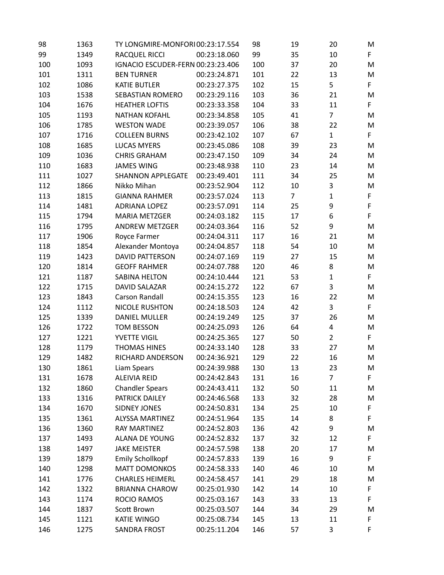| 98  | 1363 | TY LONGMIRE-MONFORI00:23:17.554   |              | 98  | 19             | 20             | M  |
|-----|------|-----------------------------------|--------------|-----|----------------|----------------|----|
| 99  | 1349 | <b>RACQUEL RICCI</b>              | 00:23:18.060 | 99  | 35             | 10             | F. |
| 100 | 1093 | IGNACIO ESCUDER-FERN 00:23:23.406 |              | 100 | 37             | 20             | M  |
| 101 | 1311 | <b>BEN TURNER</b>                 | 00:23:24.871 | 101 | 22             | 13             | M  |
| 102 | 1086 | <b>KATIE BUTLER</b>               | 00:23:27.375 | 102 | 15             | 5              | F. |
| 103 | 1538 | SEBASTIAN ROMERO                  | 00:23:29.116 | 103 | 36             | 21             | M  |
| 104 | 1676 | <b>HEATHER LOFTIS</b>             | 00:23:33.358 | 104 | 33             | 11             | F. |
| 105 | 1193 | <b>NATHAN KOFAHL</b>              | 00:23:34.858 | 105 | 41             | $\overline{7}$ | M  |
| 106 | 1785 | <b>WESTON WADE</b>                | 00:23:39.057 | 106 | 38             | 22             | M  |
| 107 | 1716 | <b>COLLEEN BURNS</b>              | 00:23:42.102 | 107 | 67             | $\mathbf{1}$   | F. |
| 108 | 1685 | <b>LUCAS MYERS</b>                | 00:23:45.086 | 108 | 39             | 23             | M  |
| 109 | 1036 | <b>CHRIS GRAHAM</b>               | 00:23:47.150 | 109 | 34             | 24             | M  |
| 110 | 1683 | <b>JAMES WING</b>                 | 00:23:48.938 | 110 | 23             | 14             | M  |
| 111 | 1027 | <b>SHANNON APPLEGATE</b>          | 00:23:49.401 | 111 | 34             | 25             | M  |
| 112 | 1866 | Nikko Mihan                       | 00:23:52.904 | 112 | 10             | 3              | M  |
| 113 | 1815 | <b>GIANNA RAHMER</b>              | 00:23:57.024 | 113 | $\overline{7}$ | $\mathbf{1}$   | F  |
| 114 | 1481 | <b>ADRIANA LOPEZ</b>              | 00:23:57.091 | 114 | 25             | 9              | F  |
| 115 | 1794 | <b>MARIA METZGER</b>              | 00:24:03.182 | 115 | 17             | 6              | F  |
| 116 | 1795 | ANDREW METZGER                    | 00:24:03.364 | 116 | 52             | 9              | M  |
| 117 | 1906 | Royce Farmer                      | 00:24:04.311 | 117 | 16             | 21             | M  |
| 118 | 1854 | Alexander Montoya                 | 00:24:04.857 | 118 | 54             | 10             | M  |
| 119 | 1423 | <b>DAVID PATTERSON</b>            | 00:24:07.169 | 119 | 27             | 15             | M  |
| 120 | 1814 | <b>GEOFF RAHMER</b>               | 00:24:07.788 | 120 | 46             | 8              | M  |
| 121 | 1187 | SABINA HELTON                     | 00:24:10.444 | 121 | 53             | $\mathbf{1}$   | F  |
| 122 | 1715 | DAVID SALAZAR                     | 00:24:15.272 | 122 | 67             | 3              | M  |
| 123 | 1843 | <b>Carson Randall</b>             | 00:24:15.355 | 123 | 16             | 22             | M  |
| 124 | 1112 | <b>NICOLE RUSHTON</b>             | 00:24:18.503 | 124 | 42             | 3              | F. |
| 125 | 1339 | <b>DANIEL MULLER</b>              | 00:24:19.249 | 125 | 37             | 26             | M  |
| 126 | 1722 | <b>TOM BESSON</b>                 | 00:24:25.093 | 126 | 64             | 4              | M  |
| 127 | 1221 | YVETTE VIGIL                      | 00:24:25.365 | 127 | 50             | $\overline{2}$ | F. |
| 128 | 1179 | <b>THOMAS HINES</b>               | 00:24:33.140 | 128 | 33             | 27             | M  |
| 129 | 1482 | RICHARD ANDERSON                  | 00:24:36.921 | 129 | 22             | 16             | M  |
| 130 | 1861 | Liam Spears                       | 00:24:39.988 | 130 | 13             | 23             | M  |
| 131 | 1678 | <b>ALEIVIA REID</b>               | 00:24:42.843 | 131 | 16             | $\overline{7}$ | F  |
| 132 | 1860 | <b>Chandler Spears</b>            | 00:24:43.411 | 132 | 50             | 11             | M  |
| 133 | 1316 | PATRICK DAILEY                    | 00:24:46.568 | 133 | 32             | 28             | M  |
| 134 | 1670 | <b>SIDNEY JONES</b>               | 00:24:50.831 | 134 | 25             | 10             | F  |
| 135 | 1361 | <b>ALYSSA MARTINEZ</b>            | 00:24:51.964 | 135 | 14             | 8              | F  |
| 136 | 1360 | <b>RAY MARTINEZ</b>               | 00:24:52.803 | 136 | 42             | 9              | M  |
| 137 | 1493 | ALANA DE YOUNG                    | 00:24:52.832 | 137 | 32             | 12             | F  |
| 138 | 1497 | <b>JAKE MEISTER</b>               | 00:24:57.598 | 138 | 20             | 17             | M  |
| 139 | 1879 | <b>Emily Schollkopf</b>           | 00:24:57.833 | 139 | 16             | 9              | F. |
| 140 | 1298 | <b>MATT DOMONKOS</b>              | 00:24:58.333 | 140 | 46             | 10             | M  |
| 141 | 1776 | <b>CHARLES HEIMERL</b>            | 00:24:58.457 | 141 | 29             | 18             | M  |
| 142 | 1322 | <b>BRIANNA CHAROW</b>             | 00:25:01.930 | 142 | 14             | 10             | F. |
| 143 | 1174 | <b>ROCIO RAMOS</b>                | 00:25:03.167 | 143 | 33             | 13             | F  |
| 144 | 1837 | Scott Brown                       | 00:25:03.507 | 144 | 34             | 29             | M  |
| 145 | 1121 | <b>KATIE WINGO</b>                | 00:25:08.734 | 145 | 13             | 11             | F  |
| 146 | 1275 | SANDRA FROST                      | 00:25:11.204 | 146 | 57             | 3              | F  |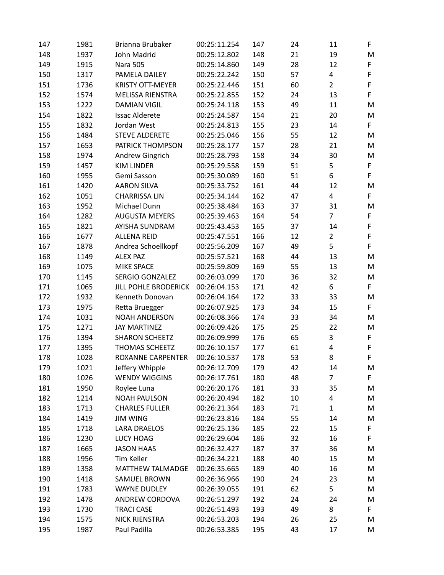| 147 | 1981 | Brianna Brubaker            | 00:25:11.254 | 147 | 24 | 11             | F           |
|-----|------|-----------------------------|--------------|-----|----|----------------|-------------|
| 148 | 1937 | John Madrid                 | 00:25:12.802 | 148 | 21 | 19             | M           |
| 149 | 1915 | <b>Nara 505</b>             | 00:25:14.860 | 149 | 28 | 12             | F           |
| 150 | 1317 | PAMELA DAILEY               | 00:25:22.242 | 150 | 57 | 4              | $\mathsf F$ |
| 151 | 1736 | <b>KRISTY OTT-MEYER</b>     | 00:25:22.446 | 151 | 60 | $\overline{2}$ | $\mathsf F$ |
| 152 | 1574 | <b>MELISSA RIENSTRA</b>     | 00:25:22.855 | 152 | 24 | 13             | F           |
| 153 | 1222 | <b>DAMIAN VIGIL</b>         | 00:25:24.118 | 153 | 49 | 11             | M           |
| 154 | 1822 | <b>Issac Alderete</b>       | 00:25:24.587 | 154 | 21 | 20             | M           |
| 155 | 1832 | Jordan West                 | 00:25:24.813 | 155 | 23 | 14             | F           |
| 156 | 1484 | <b>STEVE ALDERETE</b>       | 00:25:25.046 | 156 | 55 | 12             | M           |
| 157 | 1653 | PATRICK THOMPSON            | 00:25:28.177 | 157 | 28 | 21             | M           |
| 158 | 1974 | Andrew Gingrich             | 00:25:28.793 | 158 | 34 | 30             | M           |
| 159 | 1457 | <b>KIM LINDER</b>           | 00:25:29.558 | 159 | 51 | 5              | $\mathsf F$ |
| 160 | 1955 | Gemi Sasson                 | 00:25:30.089 | 160 | 51 | 6              | F           |
| 161 | 1420 | <b>AARON SILVA</b>          | 00:25:33.752 | 161 | 44 | 12             | M           |
| 162 | 1051 | <b>CHARRISSA LIN</b>        | 00:25:34.144 | 162 | 47 | 4              | F           |
| 163 | 1952 | Michael Dunn                | 00:25:38.484 | 163 | 37 | 31             | M           |
| 164 | 1282 | <b>AUGUSTA MEYERS</b>       | 00:25:39.463 | 164 | 54 | 7              | F           |
| 165 | 1821 | AYISHA SUNDRAM              | 00:25:43.453 | 165 | 37 | 14             | $\mathsf F$ |
| 166 | 1677 | <b>ALLENA REID</b>          | 00:25:47.551 | 166 | 12 | $\overline{2}$ | $\mathsf F$ |
| 167 | 1878 | Andrea Schoellkopf          | 00:25:56.209 | 167 | 49 | 5              | F.          |
| 168 | 1149 | <b>ALEX PAZ</b>             | 00:25:57.521 | 168 | 44 | 13             | M           |
| 169 | 1075 | <b>MIKE SPACE</b>           | 00:25:59.809 | 169 | 55 | 13             | M           |
| 170 | 1145 | <b>SERGIO GONZALEZ</b>      | 00:26:03.099 | 170 | 36 | 32             | M           |
| 171 | 1065 | <b>JILL POHLE BRODERICK</b> | 00:26:04.153 | 171 | 42 | 6              | F           |
| 172 | 1932 | Kenneth Donovan             | 00:26:04.164 | 172 | 33 | 33             | M           |
| 173 | 1975 | Retta Bruegger              | 00:26:07.925 | 173 | 34 | 15             | F           |
| 174 | 1031 | <b>NOAH ANDERSON</b>        | 00:26:08.366 | 174 | 33 | 34             | M           |
| 175 | 1271 | <b>JAY MARTINEZ</b>         | 00:26:09.426 | 175 | 25 | 22             | M           |
| 176 | 1394 | <b>SHARON SCHEETZ</b>       | 00:26:09.999 | 176 | 65 | 3              | F           |
| 177 | 1395 | <b>THOMAS SCHEETZ</b>       | 00:26:10.157 | 177 | 61 | 4              | $\mathsf F$ |
| 178 | 1028 | <b>ROXANNE CARPENTER</b>    | 00:26:10.537 | 178 | 53 | 8              | F           |
| 179 | 1021 | Jeffery Whipple             | 00:26:12.709 | 179 | 42 | 14             | M           |
| 180 | 1026 | <b>WENDY WIGGINS</b>        | 00:26:17.761 | 180 | 48 | 7              | F           |
| 181 | 1950 | Roylee Luna                 | 00:26:20.176 | 181 | 33 | 35             | M           |
| 182 | 1214 | <b>NOAH PAULSON</b>         | 00:26:20.494 | 182 | 10 | 4              | M           |
| 183 | 1713 | <b>CHARLES FULLER</b>       | 00:26:21.364 | 183 | 71 | $\mathbf{1}$   | M           |
| 184 | 1419 | <b>JIM WING</b>             | 00:26:23.816 | 184 | 55 | 14             | M           |
| 185 | 1718 | <b>LARA DRAELOS</b>         | 00:26:25.136 | 185 | 22 | 15             | F           |
| 186 | 1230 | LUCY HOAG                   | 00:26:29.604 | 186 | 32 | 16             | F           |
| 187 | 1665 | <b>JASON HAAS</b>           | 00:26:32.427 | 187 | 37 | 36             | M           |
| 188 | 1956 | Tim Keller                  | 00:26:34.221 | 188 | 40 | 15             | M           |
| 189 | 1358 | MATTHEW TALMADGE            | 00:26:35.665 | 189 | 40 | 16             | M           |
| 190 | 1418 | SAMUEL BROWN                | 00:26:36.966 | 190 | 24 | 23             | M           |
| 191 | 1783 | WAYNE DUDLEY                | 00:26:39.055 | 191 | 62 | 5              | M           |
| 192 | 1478 | ANDREW CORDOVA              | 00:26:51.297 | 192 | 24 | 24             | M           |
| 193 | 1730 | <b>TRACI CASE</b>           | 00:26:51.493 | 193 | 49 | 8              | F           |
| 194 | 1575 | <b>NICK RIENSTRA</b>        | 00:26:53.203 | 194 | 26 | 25             | M           |
| 195 | 1987 | Paul Padilla                | 00:26:53.385 | 195 | 43 | 17             | M           |
|     |      |                             |              |     |    |                |             |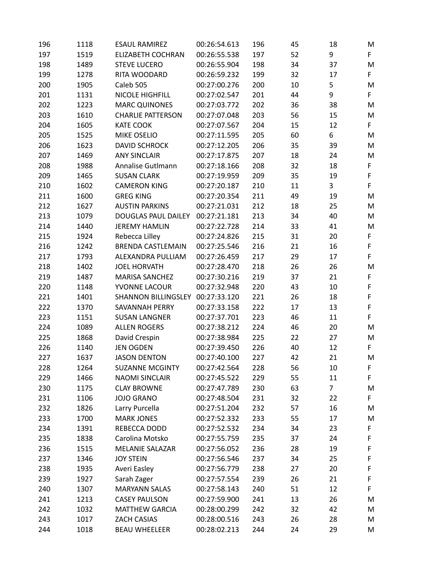| 196 | 1118 | <b>ESAUL RAMIREZ</b>       | 00:26:54.613 | 196 | 45 | 18             | M  |
|-----|------|----------------------------|--------------|-----|----|----------------|----|
| 197 | 1519 | <b>ELIZABETH COCHRAN</b>   | 00:26:55.538 | 197 | 52 | 9              | F  |
| 198 | 1489 | <b>STEVE LUCERO</b>        | 00:26:55.904 | 198 | 34 | 37             | M  |
| 199 | 1278 | RITA WOODARD               | 00:26:59.232 | 199 | 32 | 17             | F. |
| 200 | 1905 | Caleb 505                  | 00:27:00.276 | 200 | 10 | 5              | M  |
| 201 | 1131 | NICOLE HIGHFILL            | 00:27:02.547 | 201 | 44 | 9              | F  |
| 202 | 1223 | <b>MARC QUINONES</b>       | 00:27:03.772 | 202 | 36 | 38             | M  |
| 203 | 1610 | <b>CHARLIE PATTERSON</b>   | 00:27:07.048 | 203 | 56 | 15             | M  |
| 204 | 1605 | <b>KATE COOK</b>           | 00:27:07.567 | 204 | 15 | 12             | F. |
| 205 | 1525 | MIKE OSELIO                | 00:27:11.595 | 205 | 60 | 6              | M  |
| 206 | 1623 | <b>DAVID SCHROCK</b>       | 00:27:12.205 | 206 | 35 | 39             | M  |
| 207 | 1469 | <b>ANY SINCLAIR</b>        | 00:27:17.875 | 207 | 18 | 24             | M  |
| 208 | 1988 | Annalise Gutlmann          | 00:27:18.166 | 208 | 32 | 18             | F  |
| 209 | 1465 | <b>SUSAN CLARK</b>         | 00:27:19.959 | 209 | 35 | 19             | F  |
| 210 | 1602 | <b>CAMERON KING</b>        | 00:27:20.187 | 210 | 11 | 3              | F  |
| 211 | 1600 | <b>GREG KING</b>           | 00:27:20.354 | 211 | 49 | 19             | M  |
| 212 | 1627 | <b>AUSTIN PARKINS</b>      | 00:27:21.031 | 212 | 18 | 25             | M  |
| 213 | 1079 | DOUGLAS PAUL DAILEY        | 00:27:21.181 | 213 | 34 | 40             | M  |
| 214 | 1440 | <b>JEREMY HAMLIN</b>       | 00:27:22.728 | 214 | 33 | 41             | M  |
| 215 | 1924 | Rebecca Lilley             | 00:27:24.826 | 215 | 31 | 20             | F  |
| 216 | 1242 | <b>BRENDA CASTLEMAIN</b>   | 00:27:25.546 | 216 | 21 | 16             | F  |
| 217 | 1793 | ALEXANDRA PULLIAM          | 00:27:26.459 | 217 | 29 | 17             | F  |
| 218 | 1402 | <b>JOEL HORVATH</b>        | 00:27:28.470 | 218 | 26 | 26             | M  |
| 219 | 1487 | <b>MARISA SANCHEZ</b>      | 00:27:30.216 | 219 | 37 | 21             | F  |
| 220 | 1148 | YVONNE LACOUR              | 00:27:32.948 | 220 | 43 | 10             | F  |
| 221 | 1401 | <b>SHANNON BILLINGSLEY</b> | 00:27:33.120 | 221 | 26 | 18             | F  |
| 222 | 1370 | SAVANNAH PERRY             | 00:27:33.158 | 222 | 17 | 13             | F  |
| 223 | 1151 | <b>SUSAN LANGNER</b>       | 00:27:37.701 | 223 | 46 | 11             | F  |
| 224 | 1089 | <b>ALLEN ROGERS</b>        | 00:27:38.212 | 224 | 46 | 20             | M  |
| 225 | 1868 | David Crespin              | 00:27:38.984 | 225 | 22 | 27             | M  |
| 226 | 1140 | <b>JEN OGDEN</b>           | 00:27:39.450 | 226 | 40 | 12             | F. |
| 227 | 1637 | <b>JASON DENTON</b>        | 00:27:40.100 | 227 | 42 | 21             | M  |
| 228 | 1264 | <b>SUZANNE MCGINTY</b>     | 00:27:42.564 | 228 | 56 | 10             | F  |
| 229 | 1466 | <b>NAOMI SINCLAIR</b>      | 00:27:45.522 | 229 | 55 | 11             | F  |
| 230 | 1175 | <b>CLAY BROWNE</b>         | 00:27:47.789 | 230 | 63 | $\overline{7}$ | M  |
| 231 | 1106 | <b>JOJO GRANO</b>          | 00:27:48.504 | 231 | 32 | 22             | F. |
| 232 | 1826 | Larry Purcella             | 00:27:51.204 | 232 | 57 | 16             | M  |
| 233 | 1700 | <b>MARK JONES</b>          | 00:27:52.332 | 233 | 55 | 17             | M  |
| 234 | 1391 | REBECCA DODD               | 00:27:52.532 | 234 | 34 | 23             | F  |
| 235 | 1838 | Carolina Motsko            | 00:27:55.759 | 235 | 37 | 24             | F  |
| 236 | 1515 | <b>MELANIE SALAZAR</b>     | 00:27:56.052 | 236 | 28 | 19             | F  |
| 237 | 1346 | <b>JOY STEIN</b>           | 00:27:56.546 | 237 | 34 | 25             | F  |
| 238 | 1935 | Averi Easley               | 00:27:56.779 | 238 | 27 | 20             | F  |
| 239 | 1927 | Sarah Zager                | 00:27:57.554 | 239 | 26 | 21             | F  |
| 240 | 1307 | <b>MARYANN SALAS</b>       | 00:27:58.143 | 240 | 51 | 12             | F  |
| 241 | 1213 | <b>CASEY PAULSON</b>       | 00:27:59.900 | 241 | 13 | 26             | M  |
| 242 | 1032 | <b>MATTHEW GARCIA</b>      | 00:28:00.299 | 242 | 32 | 42             | M  |
| 243 | 1017 | ZACH CASIAS                | 00:28:00.516 | 243 | 26 | 28             | M  |
| 244 | 1018 | <b>BEAU WHEELEER</b>       | 00:28:02.213 | 244 | 24 | 29             | M  |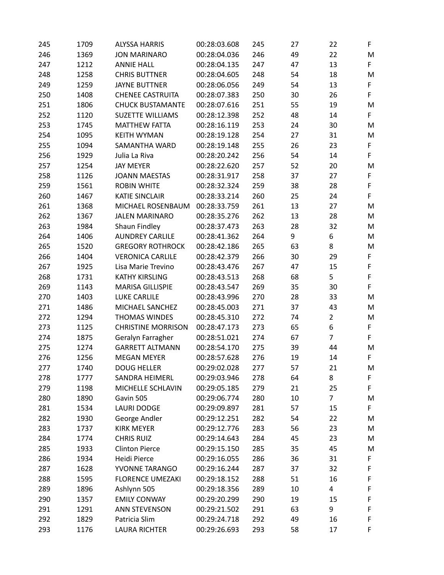| 245 | 1709 | <b>ALYSSA HARRIS</b>      | 00:28:03.608 | 245 | 27 | 22             | F           |
|-----|------|---------------------------|--------------|-----|----|----------------|-------------|
| 246 | 1369 | <b>JON MARINARO</b>       | 00:28:04.036 | 246 | 49 | 22             | M           |
| 247 | 1212 | <b>ANNIE HALL</b>         | 00:28:04.135 | 247 | 47 | 13             | F.          |
| 248 | 1258 | <b>CHRIS BUTTNER</b>      | 00:28:04.605 | 248 | 54 | 18             | M           |
| 249 | 1259 | <b>JAYNE BUTTNER</b>      | 00:28:06.056 | 249 | 54 | 13             | F           |
| 250 | 1408 | <b>CHENEE CASTRUITA</b>   | 00:28:07.383 | 250 | 30 | 26             | F           |
| 251 | 1806 | <b>CHUCK BUSTAMANTE</b>   | 00:28:07.616 | 251 | 55 | 19             | M           |
| 252 | 1120 | <b>SUZETTE WILLIAMS</b>   | 00:28:12.398 | 252 | 48 | 14             | F           |
| 253 | 1745 | <b>MATTHEW FATTA</b>      | 00:28:16.119 | 253 | 24 | 30             | M           |
| 254 | 1095 | <b>KEITH WYMAN</b>        | 00:28:19.128 | 254 | 27 | 31             | M           |
| 255 | 1094 | SAMANTHA WARD             | 00:28:19.148 | 255 | 26 | 23             | F           |
| 256 | 1929 | Julia La Riva             | 00:28:20.242 | 256 | 54 | 14             | F           |
| 257 | 1254 | <b>JAY MEYER</b>          | 00:28:22.620 | 257 | 52 | 20             | M           |
| 258 | 1126 | <b>JOANN MAESTAS</b>      | 00:28:31.917 | 258 | 37 | 27             | F           |
| 259 | 1561 | <b>ROBIN WHITE</b>        | 00:28:32.324 | 259 | 38 | 28             | F           |
| 260 | 1467 | <b>KATIE SINCLAIR</b>     | 00:28:33.214 | 260 | 25 | 24             | F           |
| 261 | 1368 | MICHAEL ROSENBAUM         | 00:28:33.759 | 261 | 13 | 27             | M           |
| 262 | 1367 | <b>JALEN MARINARO</b>     | 00:28:35.276 | 262 | 13 | 28             | M           |
| 263 | 1984 | Shaun Findley             | 00:28:37.473 | 263 | 28 | 32             | M           |
| 264 | 1406 | <b>AUNDREY CARLILE</b>    | 00:28:41.362 | 264 | 9  | 6              | M           |
| 265 | 1520 | <b>GREGORY ROTHROCK</b>   | 00:28:42.186 | 265 | 63 | 8              | M           |
| 266 | 1404 | <b>VERONICA CARLILE</b>   | 00:28:42.379 | 266 | 30 | 29             | F           |
| 267 | 1925 | Lisa Marie Trevino        | 00:28:43.476 | 267 | 47 | 15             | $\mathsf F$ |
| 268 | 1731 | <b>KATHY KIRSLING</b>     | 00:28:43.513 | 268 | 68 | 5              | F           |
| 269 | 1143 | <b>MARISA GILLISPIE</b>   | 00:28:43.547 | 269 | 35 | 30             | F           |
| 270 | 1403 | <b>LUKE CARLILE</b>       | 00:28:43.996 | 270 | 28 | 33             | M           |
| 271 | 1486 | MICHAEL SANCHEZ           | 00:28:45.003 | 271 | 37 | 43             | M           |
| 272 | 1294 | THOMAS WINDES             | 00:28:45.310 | 272 | 74 | $\overline{2}$ | M           |
| 273 | 1125 | <b>CHRISTINE MORRISON</b> | 00:28:47.173 | 273 | 65 | 6              | F           |
| 274 | 1875 | Geralyn Farragher         | 00:28:51.021 | 274 | 67 | 7              | F           |
| 275 | 1274 | <b>GARRETT ALTMANN</b>    | 00:28:54.170 | 275 | 39 | 44             | M           |
| 276 | 1256 | <b>MEGAN MEYER</b>        | 00:28:57.628 | 276 | 19 | 14             | F           |
| 277 | 1740 | <b>DOUG HELLER</b>        | 00:29:02.028 | 277 | 57 | 21             | M           |
| 278 | 1777 | SANDRA HEIMERL            | 00:29:03.946 | 278 | 64 | 8              | F           |
| 279 | 1198 | MICHELLE SCHLAVIN         | 00:29:05.185 | 279 | 21 | 25             | F           |
| 280 | 1890 | Gavin 505                 | 00:29:06.774 | 280 | 10 | $\overline{7}$ | M           |
| 281 | 1534 | <b>LAURI DODGE</b>        | 00:29:09.897 | 281 | 57 | 15             | F.          |
| 282 | 1930 | George Andler             | 00:29:12.251 | 282 | 54 | 22             | M           |
| 283 | 1737 | <b>KIRK MEYER</b>         | 00:29:12.776 | 283 | 56 | 23             | M           |
| 284 | 1774 | <b>CHRIS RUIZ</b>         | 00:29:14.643 | 284 | 45 | 23             | M           |
| 285 | 1933 | <b>Clinton Pierce</b>     | 00:29:15.150 | 285 | 35 | 45             | M           |
| 286 | 1934 | Heidi Pierce              | 00:29:16.055 | 286 | 36 | 31             | F           |
| 287 | 1628 | YVONNE TARANGO            | 00:29:16.244 | 287 | 37 | 32             | F           |
| 288 | 1595 | <b>FLORENCE UMEZAKI</b>   | 00:29:18.152 | 288 | 51 | 16             | F           |
| 289 | 1896 | Ashlynn 505               | 00:29:18.356 | 289 | 10 | 4              | F           |
| 290 | 1357 | <b>EMILY CONWAY</b>       | 00:29:20.299 | 290 | 19 | 15             | F           |
| 291 | 1291 | <b>ANN STEVENSON</b>      | 00:29:21.502 | 291 | 63 | 9              | F           |
| 292 | 1829 | Patricia Slim             | 00:29:24.718 | 292 | 49 | 16             | F           |
| 293 | 1176 | <b>LAURA RICHTER</b>      | 00:29:26.693 | 293 | 58 | 17             | F           |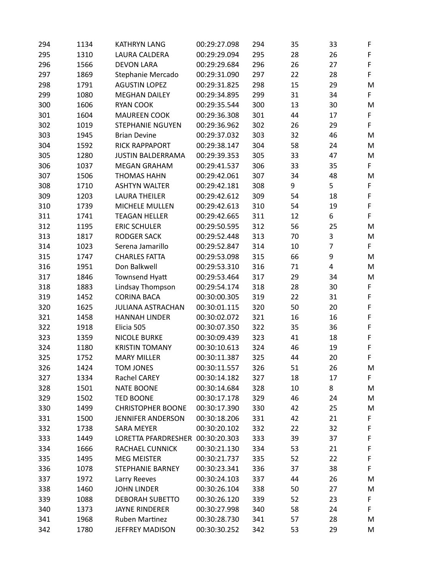| 294 | 1134 | <b>KATHRYN LANG</b>              | 00:29:27.098 | 294 | 35 | 33 | F           |
|-----|------|----------------------------------|--------------|-----|----|----|-------------|
| 295 | 1310 | LAURA CALDERA                    | 00:29:29.094 | 295 | 28 | 26 | F           |
| 296 | 1566 | <b>DEVON LARA</b>                | 00:29:29.684 | 296 | 26 | 27 | $\mathsf F$ |
| 297 | 1869 | Stephanie Mercado                | 00:29:31.090 | 297 | 22 | 28 | F           |
| 298 | 1791 | <b>AGUSTIN LOPEZ</b>             | 00:29:31.825 | 298 | 15 | 29 | M           |
| 299 | 1080 | <b>MEGHAN DAILEY</b>             | 00:29:34.895 | 299 | 31 | 34 | F           |
| 300 | 1606 | <b>RYAN COOK</b>                 | 00:29:35.544 | 300 | 13 | 30 | M           |
| 301 | 1604 | <b>MAUREEN COOK</b>              | 00:29:36.308 | 301 | 44 | 17 | F           |
| 302 | 1019 | <b>STEPHANIE NGUYEN</b>          | 00:29:36.962 | 302 | 26 | 29 | F           |
| 303 | 1945 | <b>Brian Devine</b>              | 00:29:37.032 | 303 | 32 | 46 | M           |
| 304 | 1592 | <b>RICK RAPPAPORT</b>            | 00:29:38.147 | 304 | 58 | 24 | M           |
| 305 | 1280 | <b>JUSTIN BALDERRAMA</b>         | 00:29:39.353 | 305 | 33 | 47 | M           |
| 306 | 1037 | <b>MEGAN GRAHAM</b>              | 00:29:41.537 | 306 | 33 | 35 | F           |
| 307 | 1506 | <b>THOMAS HAHN</b>               | 00:29:42.061 | 307 | 34 | 48 | M           |
| 308 | 1710 | <b>ASHTYN WALTER</b>             | 00:29:42.181 | 308 | 9  | 5  | F           |
| 309 | 1203 | <b>LAURA THEILER</b>             | 00:29:42.612 | 309 | 54 | 18 | F           |
| 310 | 1739 | MICHELE MULLEN                   | 00:29:42.613 | 310 | 54 | 19 | F           |
| 311 | 1741 | <b>TEAGAN HELLER</b>             | 00:29:42.665 | 311 | 12 | 6  | F           |
| 312 | 1195 | <b>ERIC SCHULER</b>              | 00:29:50.595 | 312 | 56 | 25 | M           |
| 313 | 1817 | <b>RODGER SACK</b>               | 00:29:52.448 | 313 | 70 | 3  | M           |
| 314 | 1023 | Serena Jamarillo                 | 00:29:52.847 | 314 | 10 | 7  | F           |
| 315 | 1747 | <b>CHARLES FATTA</b>             | 00:29:53.098 | 315 | 66 | 9  | M           |
| 316 | 1951 | Don Balkwell                     | 00:29:53.310 | 316 | 71 | 4  | M           |
| 317 | 1846 | Townsend Hyatt                   | 00:29:53.464 | 317 | 29 | 34 | M           |
| 318 | 1883 | Lindsay Thompson                 | 00:29:54.174 | 318 | 28 | 30 | F           |
| 319 | 1452 | <b>CORINA BACA</b>               | 00:30:00.305 | 319 | 22 | 31 | $\mathsf F$ |
| 320 | 1625 | <b>JULIANA ASTRACHAN</b>         | 00:30:01.115 | 320 | 50 | 20 | F           |
| 321 | 1458 | <b>HANNAH LINDER</b>             | 00:30:02.072 | 321 | 16 | 16 | $\mathsf F$ |
| 322 | 1918 | Elicia 505                       | 00:30:07.350 | 322 | 35 | 36 | $\mathsf F$ |
| 323 | 1359 | <b>NICOLE BURKE</b>              | 00:30:09.439 | 323 | 41 | 18 | $\mathsf F$ |
| 324 | 1180 | <b>KRISTIN TOMANY</b>            | 00:30:10.613 | 324 | 46 | 19 | F           |
| 325 | 1752 | <b>MARY MILLER</b>               | 00:30:11.387 | 325 | 44 | 20 | $\mathsf F$ |
| 326 | 1424 | <b>TOM JONES</b>                 | 00:30:11.557 | 326 | 51 | 26 | M           |
| 327 | 1334 | Rachel CAREY                     | 00:30:14.182 | 327 | 18 | 17 | F           |
| 328 | 1501 | <b>NATE BOONE</b>                | 00:30:14.684 | 328 | 10 | 8  | M           |
| 329 | 1502 | TED BOONE                        | 00:30:17.178 | 329 | 46 | 24 | M           |
| 330 | 1499 | <b>CHRISTOPHER BOONE</b>         | 00:30:17.390 | 330 | 42 | 25 | M           |
| 331 | 1500 | <b>JENNIFER ANDERSON</b>         | 00:30:18.206 | 331 | 42 | 21 | F           |
| 332 | 1738 | <b>SARA MEYER</b>                | 00:30:20.102 | 332 | 22 | 32 | F           |
| 333 | 1449 | LORETTA PFARDRESHER 00:30:20.303 |              | 333 | 39 | 37 | F           |
| 334 | 1666 | <b>RACHAEL CUNNICK</b>           | 00:30:21.130 | 334 | 53 | 21 | F           |
| 335 | 1495 | <b>MEG MEISTER</b>               | 00:30:21.737 | 335 | 52 | 22 | F           |
| 336 | 1078 | <b>STEPHANIE BARNEY</b>          | 00:30:23.341 | 336 | 37 | 38 | F           |
| 337 | 1972 | Larry Reeves                     | 00:30:24.103 | 337 | 44 | 26 | M           |
| 338 | 1460 | <b>JOHN LINDER</b>               | 00:30:26.104 | 338 | 50 | 27 | M           |
| 339 | 1088 | <b>DEBORAH SUBETTO</b>           | 00:30:26.120 | 339 | 52 | 23 | F           |
| 340 | 1373 | <b>JAYNE RINDERER</b>            | 00:30:27.998 | 340 | 58 | 24 | F           |
| 341 | 1968 | Ruben Martinez                   | 00:30:28.730 | 341 | 57 | 28 | M           |
| 342 | 1780 | JEFFREY MADISON                  | 00:30:30.252 | 342 | 53 | 29 | M           |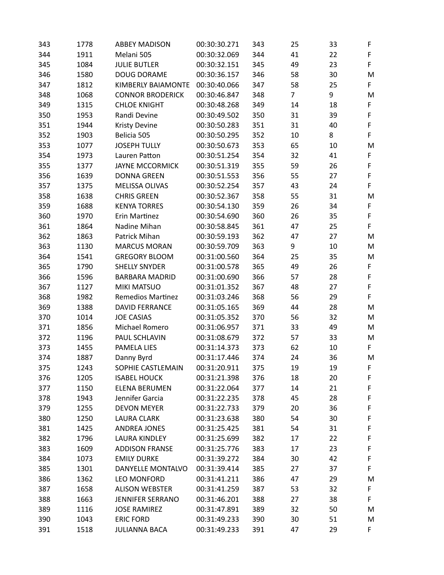| 343 | 1778 | <b>ABBEY MADISON</b>      | 00:30:30.271 | 343 | 25             | 33 | F           |
|-----|------|---------------------------|--------------|-----|----------------|----|-------------|
| 344 | 1911 | Melani 505                | 00:30:32.069 | 344 | 41             | 22 | F           |
| 345 | 1084 | <b>JULIE BUTLER</b>       | 00:30:32.151 | 345 | 49             | 23 | F           |
| 346 | 1580 | DOUG DORAME               | 00:30:36.157 | 346 | 58             | 30 | M           |
| 347 | 1812 | <b>KIMBERLY BAIAMONTE</b> | 00:30:40.066 | 347 | 58             | 25 | F           |
| 348 | 1068 | <b>CONNOR BRODERICK</b>   | 00:30:46.847 | 348 | $\overline{7}$ | 9  | M           |
| 349 | 1315 | <b>CHLOE KNIGHT</b>       | 00:30:48.268 | 349 | 14             | 18 | F           |
| 350 | 1953 | Randi Devine              | 00:30:49.502 | 350 | 31             | 39 | $\mathsf F$ |
| 351 | 1944 | <b>Kristy Devine</b>      | 00:30:50.283 | 351 | 31             | 40 | $\mathsf F$ |
| 352 | 1903 | Belicia 505               | 00:30:50.295 | 352 | 10             | 8  | F           |
| 353 | 1077 | <b>JOSEPH TULLY</b>       | 00:30:50.673 | 353 | 65             | 10 | M           |
| 354 | 1973 | Lauren Patton             | 00:30:51.254 | 354 | 32             | 41 | $\mathsf F$ |
| 355 | 1377 | <b>JAYNE MCCORMICK</b>    | 00:30:51.319 | 355 | 59             | 26 | F           |
| 356 | 1639 | <b>DONNA GREEN</b>        | 00:30:51.553 | 356 | 55             | 27 | F           |
| 357 | 1375 | MELISSA OLIVAS            | 00:30:52.254 | 357 | 43             | 24 | F           |
| 358 | 1638 | <b>CHRIS GREEN</b>        | 00:30:52.367 | 358 | 55             | 31 | M           |
| 359 | 1688 | <b>KENYA TORRES</b>       | 00:30:54.130 | 359 | 26             | 34 | $\mathsf F$ |
| 360 | 1970 | Erin Martinez             | 00:30:54.690 | 360 | 26             | 35 | $\mathsf F$ |
| 361 | 1864 | Nadine Mihan              | 00:30:58.845 | 361 | 47             | 25 | F           |
| 362 | 1863 | Patrick Mihan             | 00:30:59.193 | 362 | 47             | 27 | M           |
| 363 | 1130 | <b>MARCUS MORAN</b>       | 00:30:59.709 | 363 | 9              | 10 | M           |
| 364 | 1541 | <b>GREGORY BLOOM</b>      | 00:31:00.560 | 364 | 25             | 35 | M           |
| 365 | 1790 | <b>SHELLY SNYDER</b>      | 00:31:00.578 | 365 | 49             | 26 | F           |
| 366 | 1596 | <b>BARBARA MADRID</b>     | 00:31:00.690 | 366 | 57             | 28 | $\mathsf F$ |
| 367 | 1127 | <b>MIKI MATSUO</b>        | 00:31:01.352 | 367 | 48             | 27 | $\mathsf F$ |
| 368 | 1982 | <b>Remedios Martinez</b>  | 00:31:03.246 | 368 | 56             | 29 | F           |
| 369 | 1388 | <b>DAVID FERRANCE</b>     | 00:31:05.165 | 369 | 44             | 28 | M           |
| 370 | 1014 | <b>JOE CASIAS</b>         | 00:31:05.352 | 370 | 56             | 32 | M           |
| 371 | 1856 | Michael Romero            | 00:31:06.957 | 371 | 33             | 49 | M           |
| 372 | 1196 | PAUL SCHLAVIN             | 00:31:08.679 | 372 | 57             | 33 | M           |
| 373 | 1455 | PAMELA LIES               | 00:31:14.373 | 373 | 62             | 10 | F           |
| 374 | 1887 | Danny Byrd                | 00:31:17.446 | 374 | 24             | 36 | M           |
| 375 | 1243 | SOPHIE CASTLEMAIN         | 00:31:20.911 | 375 | 19             | 19 | F           |
| 376 | 1205 | <b>ISABEL HOUCK</b>       | 00:31:21.398 | 376 | 18             | 20 | F           |
| 377 | 1150 | <b>ELENA BERUMEN</b>      | 00:31:22.064 | 377 | 14             | 21 | F           |
| 378 | 1943 | Jennifer Garcia           | 00:31:22.235 | 378 | 45             | 28 | F           |
| 379 | 1255 | <b>DEVON MEYER</b>        | 00:31:22.733 | 379 | 20             | 36 | F           |
| 380 | 1250 | <b>LAURA CLARK</b>        | 00:31:23.638 | 380 | 54             | 30 | F           |
| 381 | 1425 | <b>ANDREA JONES</b>       | 00:31:25.425 | 381 | 54             | 31 | F           |
| 382 | 1796 | <b>LAURA KINDLEY</b>      | 00:31:25.699 | 382 | 17             | 22 | F           |
| 383 | 1609 | <b>ADDISON FRANSE</b>     | 00:31:25.776 | 383 | 17             | 23 | F           |
| 384 | 1073 | <b>EMILY DURKE</b>        | 00:31:39.272 | 384 | 30             | 42 | F           |
| 385 | 1301 | DANYELLE MONTALVO         | 00:31:39.414 | 385 | 27             | 37 | F           |
| 386 | 1362 | <b>LEO MONFORD</b>        | 00:31:41.211 | 386 | 47             | 29 | M           |
| 387 | 1658 | <b>ALISON WEBSTER</b>     | 00:31:41.259 | 387 | 53             | 32 | F           |
| 388 | 1663 | <b>JENNIFER SERRANO</b>   | 00:31:46.201 | 388 | 27             | 38 | F           |
| 389 | 1116 | <b>JOSE RAMIREZ</b>       | 00:31:47.891 | 389 | 32             | 50 | M           |
| 390 | 1043 | <b>ERIC FORD</b>          | 00:31:49.233 | 390 | 30             | 51 | M           |
| 391 | 1518 | <b>JULIANNA BACA</b>      | 00:31:49.233 | 391 | 47             | 29 | F           |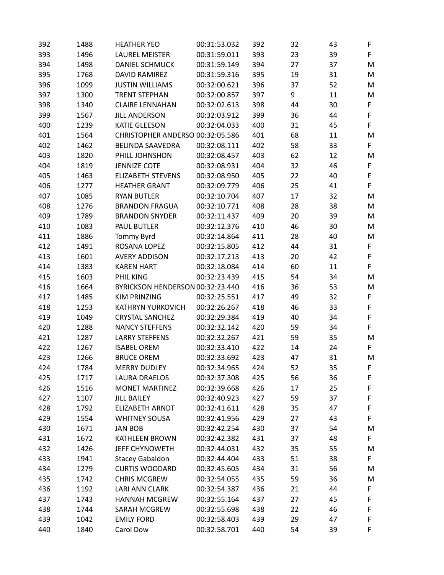| 392 | 1488 | <b>HEATHER YEO</b>               | 00:31:53.032 | 392 | 32 | 43 | F  |
|-----|------|----------------------------------|--------------|-----|----|----|----|
| 393 | 1496 | <b>LAUREL MEISTER</b>            | 00:31:59.011 | 393 | 23 | 39 | F  |
| 394 | 1498 | <b>DANIEL SCHMUCK</b>            | 00:31:59.149 | 394 | 27 | 37 | M  |
| 395 | 1768 | <b>DAVID RAMIREZ</b>             | 00:31:59.316 | 395 | 19 | 31 | M  |
| 396 | 1099 | <b>JUSTIN WILLIAMS</b>           | 00:32:00.621 | 396 | 37 | 52 | M  |
| 397 | 1300 | <b>TRENT STEPHAN</b>             | 00:32:00.857 | 397 | 9  | 11 | M  |
| 398 | 1340 | <b>CLAIRE LENNAHAN</b>           | 00:32:02.613 | 398 | 44 | 30 | F  |
| 399 | 1567 | <b>JILL ANDERSON</b>             | 00:32:03.912 | 399 | 36 | 44 | F  |
| 400 | 1239 | <b>KATIE GLEESON</b>             | 00:32:04.033 | 400 | 31 | 45 | F  |
| 401 | 1564 | CHRISTOPHER ANDERSO 00:32:05.586 |              | 401 | 68 | 11 | M  |
| 402 | 1462 | <b>BELINDA SAAVEDRA</b>          | 00:32:08.111 | 402 | 58 | 33 | F  |
| 403 | 1820 | PHILL JOHNSHON                   | 00:32:08.457 | 403 | 62 | 12 | M  |
| 404 | 1819 | <b>JENNIZE COTE</b>              | 00:32:08.931 | 404 | 32 | 46 | F  |
| 405 | 1463 | <b>ELIZABETH STEVENS</b>         | 00:32:08.950 | 405 | 22 | 40 | F  |
| 406 | 1277 | <b>HEATHER GRANT</b>             | 00:32:09.779 | 406 | 25 | 41 | F  |
| 407 | 1085 | <b>RYAN BUTLER</b>               | 00:32:10.704 | 407 | 17 | 32 | M  |
| 408 | 1276 | <b>BRANDON FRAGUA</b>            | 00:32:10.771 | 408 | 28 | 38 | M  |
| 409 | 1789 | <b>BRANDON SNYDER</b>            | 00:32:11.437 | 409 | 20 | 39 | M  |
| 410 | 1083 | <b>PAUL BUTLER</b>               | 00:32:12.376 | 410 | 46 | 30 | M  |
| 411 | 1886 | Tommy Byrd                       | 00:32:14.864 | 411 | 28 | 40 | M  |
| 412 | 1491 | ROSANA LOPEZ                     | 00:32:15.805 | 412 | 44 | 31 | F  |
| 413 | 1601 | <b>AVERY ADDISON</b>             | 00:32:17.213 | 413 | 20 | 42 | F  |
| 414 | 1383 | <b>KAREN HART</b>                | 00:32:18.084 | 414 | 60 | 11 | F  |
| 415 | 1603 | PHIL KING                        | 00:32:23.439 | 415 | 54 | 34 | M  |
| 416 | 1664 | BYRICKSON HENDERSON 00:32:23.440 |              | 416 | 36 | 53 | M  |
| 417 | 1485 | <b>KIM PRINZING</b>              | 00:32:25.551 | 417 | 49 | 32 | F  |
| 418 | 1253 | <b>KATHRYN YURKOVICH</b>         | 00:32:26.267 | 418 | 46 | 33 | F  |
| 419 | 1049 | <b>CRYSTAL SANCHEZ</b>           | 00:32:29.384 | 419 | 40 | 34 | F  |
| 420 | 1288 | <b>NANCY STEFFENS</b>            | 00:32:32.142 | 420 | 59 | 34 | F  |
| 421 | 1287 | <b>LARRY STEFFENS</b>            | 00:32:32.267 | 421 | 59 | 35 | M  |
| 422 | 1267 | <b>ISABEL OREM</b>               | 00:32:33.410 | 422 | 14 | 24 | F  |
| 423 | 1266 | <b>BRUCE OREM</b>                | 00:32:33.692 | 423 | 47 | 31 | M  |
| 424 | 1784 | <b>MERRY DUDLEY</b>              | 00:32:34.965 | 424 | 52 | 35 | F. |
| 425 | 1717 | LAURA DRAELOS                    | 00:32:37.308 | 425 | 56 | 36 | F  |
| 426 | 1516 | <b>MONET MARTINEZ</b>            | 00:32:39.668 | 426 | 17 | 25 | F  |
| 427 | 1107 | <b>JILL BAILEY</b>               | 00:32:40.923 | 427 | 59 | 37 | F  |
| 428 | 1792 | <b>ELIZABETH ARNDT</b>           | 00:32:41.611 | 428 | 35 | 47 | F  |
| 429 | 1554 | <b>WHITNEY SOUSA</b>             | 00:32:41.956 | 429 | 27 | 43 | F  |
| 430 | 1671 | <b>JAN BOB</b>                   | 00:32:42.254 | 430 | 37 | 54 | M  |
| 431 | 1672 | <b>KATHLEEN BROWN</b>            | 00:32:42.382 | 431 | 37 | 48 | F  |
| 432 | 1426 | <b>JEFF CHYNOWETH</b>            | 00:32:44.031 | 432 | 35 | 55 | M  |
| 433 | 1941 | <b>Stacey Gabaldon</b>           | 00:32:44.404 | 433 | 51 | 38 | F  |
| 434 | 1279 | <b>CURTIS WOODARD</b>            | 00:32:45.605 | 434 | 31 | 56 | M  |
| 435 | 1742 | <b>CHRIS MCGREW</b>              | 00:32:54.055 | 435 | 59 | 36 | M  |
| 436 | 1192 | <b>LARI ANN CLARK</b>            | 00:32:54.387 | 436 | 21 | 44 | F  |
| 437 | 1743 | <b>HANNAH MCGREW</b>             | 00:32:55.164 | 437 | 27 | 45 | F  |
| 438 | 1744 | SARAH MCGREW                     | 00:32:55.698 | 438 | 22 | 46 | F  |
| 439 | 1042 | <b>EMILY FORD</b>                | 00:32:58.403 | 439 | 29 | 47 | F  |
| 440 | 1840 | Carol Dow                        | 00:32:58.701 | 440 | 54 | 39 | F  |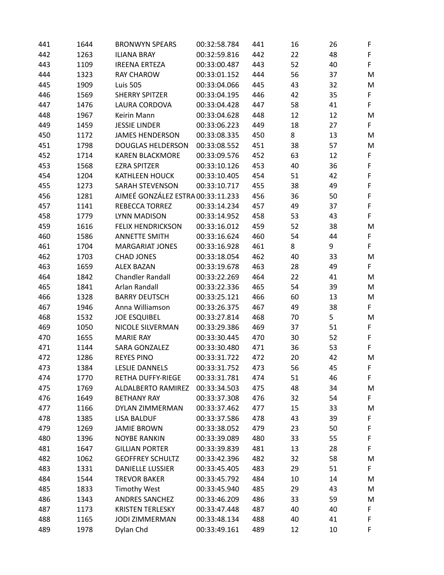| 441 | 1644 | <b>BRONWYN SPEARS</b>             | 00:32:58.784 | 441 | 16 | 26 | F           |
|-----|------|-----------------------------------|--------------|-----|----|----|-------------|
| 442 | 1263 | <b>ILIANA BRAY</b>                | 00:32:59.816 | 442 | 22 | 48 | F           |
| 443 | 1109 | <b>IREENA ERTEZA</b>              | 00:33:00.487 | 443 | 52 | 40 | F           |
| 444 | 1323 | <b>RAY CHAROW</b>                 | 00:33:01.152 | 444 | 56 | 37 | M           |
| 445 | 1909 | <b>Luis 505</b>                   | 00:33:04.066 | 445 | 43 | 32 | M           |
| 446 | 1569 | <b>SHERRY SPITZER</b>             | 00:33:04.195 | 446 | 42 | 35 | $\mathsf F$ |
| 447 | 1476 | LAURA CORDOVA                     | 00:33:04.428 | 447 | 58 | 41 | F           |
| 448 | 1967 | Keirin Mann                       | 00:33:04.628 | 448 | 12 | 12 | M           |
| 449 | 1459 | <b>JESSIE LINDER</b>              | 00:33:06.223 | 449 | 18 | 27 | F           |
| 450 | 1172 | <b>JAMES HENDERSON</b>            | 00:33:08.335 | 450 | 8  | 13 | M           |
| 451 | 1798 | <b>DOUGLAS HELDERSON</b>          | 00:33:08.552 | 451 | 38 | 57 | M           |
| 452 | 1714 | <b>KAREN BLACKMORE</b>            | 00:33:09.576 | 452 | 63 | 12 | F           |
| 453 | 1568 | <b>EZRA SPITZER</b>               | 00:33:10.126 | 453 | 40 | 36 | $\mathsf F$ |
| 454 | 1204 | <b>KATHLEEN HOUCK</b>             | 00:33:10.405 | 454 | 51 | 42 | F           |
| 455 | 1273 | <b>SARAH STEVENSON</b>            | 00:33:10.717 | 455 | 38 | 49 | F           |
| 456 | 1281 | AIMEÉ GONZÁLEZ ESTRA 00:33:11.233 |              | 456 | 36 | 50 | $\mathsf F$ |
| 457 | 1141 | REBECCA TORREZ                    | 00:33:14.234 | 457 | 49 | 37 | F           |
| 458 | 1779 | LYNN MADISON                      | 00:33:14.952 | 458 | 53 | 43 | F           |
| 459 | 1616 | <b>FELIX HENDRICKSON</b>          | 00:33:16.012 | 459 | 52 | 38 | M           |
| 460 | 1586 | <b>ANNETTE SMITH</b>              | 00:33:16.624 | 460 | 54 | 44 | F           |
| 461 | 1704 | <b>MARGARIAT JONES</b>            | 00:33:16.928 | 461 | 8  | 9  | F           |
| 462 | 1703 | <b>CHAD JONES</b>                 | 00:33:18.054 | 462 | 40 | 33 | M           |
| 463 | 1659 | <b>ALEX BAZAN</b>                 | 00:33:19.678 | 463 | 28 | 49 | F           |
| 464 | 1842 | <b>Chandler Randall</b>           | 00:33:22.269 | 464 | 22 | 41 | M           |
| 465 | 1841 | Arlan Randall                     | 00:33:22.336 | 465 | 54 | 39 | M           |
| 466 | 1328 | <b>BARRY DEUTSCH</b>              | 00:33:25.121 | 466 | 60 | 13 | M           |
| 467 | 1946 | Anna Williamson                   | 00:33:26.375 | 467 | 49 | 38 | F           |
| 468 | 1532 | <b>JOE ESQUIBEL</b>               | 00:33:27.814 | 468 | 70 | 5  | M           |
| 469 | 1050 | NICOLE SILVERMAN                  | 00:33:29.386 | 469 | 37 | 51 | F           |
| 470 | 1655 | <b>MARIE RAY</b>                  | 00:33:30.445 | 470 | 30 | 52 | F           |
| 471 | 1144 | SARA GONZALEZ                     | 00:33:30.480 | 471 | 36 | 53 | F           |
| 472 | 1286 | <b>REYES PINO</b>                 | 00:33:31.722 | 472 | 20 | 42 | M           |
| 473 | 1384 | <b>LESLIE DANNELS</b>             | 00:33:31.752 | 473 | 56 | 45 | F           |
| 474 | 1770 | <b>RETHA DUFFY-RIEGE</b>          | 00:33:31.781 | 474 | 51 | 46 | F           |
| 475 | 1769 | ALDALBERTO RAMIREZ                | 00:33:34.503 | 475 | 48 | 34 | M           |
| 476 | 1649 | <b>BETHANY RAY</b>                | 00:33:37.308 | 476 | 32 | 54 | F           |
| 477 | 1166 | DYLAN ZIMMERMAN                   | 00:33:37.462 | 477 | 15 | 33 | M           |
| 478 | 1385 | <b>LISA BALDUF</b>                | 00:33:37.586 | 478 | 43 | 39 | F           |
| 479 | 1269 | <b>JAMIE BROWN</b>                | 00:33:38.052 | 479 | 23 | 50 | F           |
| 480 | 1396 | <b>NOYBE RANKIN</b>               | 00:33:39.089 | 480 | 33 | 55 | $\mathsf F$ |
| 481 | 1647 | <b>GILLIAN PORTER</b>             | 00:33:39.839 | 481 | 13 | 28 | F           |
| 482 | 1062 | <b>GEOFFREY SCHULTZ</b>           | 00:33:42.396 | 482 | 32 | 58 | M           |
| 483 | 1331 | <b>DANIELLE LUSSIER</b>           | 00:33:45.405 | 483 | 29 | 51 | F           |
| 484 | 1544 | <b>TREVOR BAKER</b>               | 00:33:45.792 | 484 | 10 | 14 | M           |
| 485 | 1833 | <b>Timothy West</b>               | 00:33:45.940 | 485 | 29 | 43 | M           |
| 486 | 1343 | <b>ANDRES SANCHEZ</b>             | 00:33:46.209 | 486 | 33 | 59 | M           |
| 487 | 1173 | <b>KRISTEN TERLESKY</b>           | 00:33:47.448 | 487 | 40 | 40 | F           |
| 488 | 1165 | <b>JODI ZIMMERMAN</b>             | 00:33:48.134 | 488 | 40 | 41 | F           |
| 489 | 1978 | Dylan Chd                         | 00:33:49.161 | 489 | 12 | 10 | F           |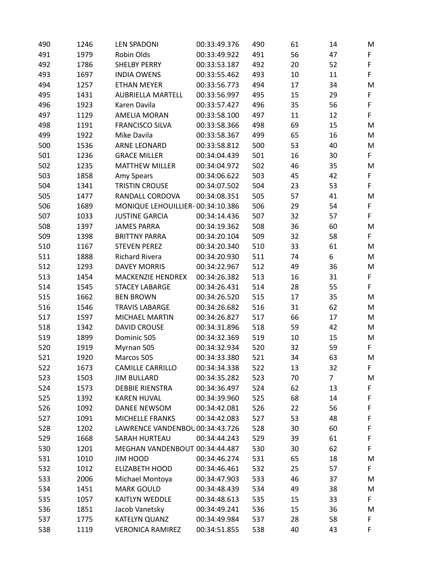| 490 | 1246 | <b>LEN SPADONI</b>               | 00:33:49.376 | 490 | 61 | 14             | M  |
|-----|------|----------------------------------|--------------|-----|----|----------------|----|
| 491 | 1979 | Robin Olds                       | 00:33:49.922 | 491 | 56 | 47             | F  |
| 492 | 1786 | <b>SHELBY PERRY</b>              | 00:33:53.187 | 492 | 20 | 52             | F  |
| 493 | 1697 | <b>INDIA OWENS</b>               | 00:33:55.462 | 493 | 10 | 11             | F  |
| 494 | 1257 | <b>ETHAN MEYER</b>               | 00:33:56.773 | 494 | 17 | 34             | M  |
| 495 | 1431 | <b>AUBRIELLA MARTELL</b>         | 00:33:56.997 | 495 | 15 | 29             | F  |
| 496 | 1923 | Karen Davila                     | 00:33:57.427 | 496 | 35 | 56             | F  |
| 497 | 1129 | <b>AMELIA MORAN</b>              | 00:33:58.100 | 497 | 11 | 12             | F  |
| 498 | 1191 | <b>FRANCISCO SILVA</b>           | 00:33:58.366 | 498 | 69 | 15             | M  |
| 499 | 1922 | Mike Davila                      | 00:33:58.367 | 499 | 65 | 16             | M  |
| 500 | 1536 | <b>ARNE LEONARD</b>              | 00:33:58.812 | 500 | 53 | 40             | M  |
| 501 | 1236 | <b>GRACE MILLER</b>              | 00:34:04.439 | 501 | 16 | 30             | F  |
| 502 | 1235 | <b>MATTHEW MILLER</b>            | 00:34:04.972 | 502 | 46 | 35             | M  |
| 503 | 1858 | Amy Spears                       | 00:34:06.622 | 503 | 45 | 42             | F  |
| 504 | 1341 | <b>TRISTIN CROUSE</b>            | 00:34:07.502 | 504 | 23 | 53             | F  |
| 505 | 1477 | RANDALL CORDOVA                  | 00:34:08.351 | 505 | 57 | 41             | M  |
| 506 | 1689 | MONIQUE LEHOUILLIER-00:34:10.386 |              | 506 | 29 | 54             | F  |
| 507 | 1033 | <b>JUSTINE GARCIA</b>            | 00:34:14.436 | 507 | 32 | 57             | F  |
| 508 | 1397 | <b>JAMES PARRA</b>               | 00:34:19.362 | 508 | 36 | 60             | M  |
| 509 | 1398 | <b>BRITTNY PARRA</b>             | 00:34:20.104 | 509 | 32 | 58             | F. |
| 510 | 1167 | <b>STEVEN PEREZ</b>              | 00:34:20.340 | 510 | 33 | 61             | M  |
| 511 | 1888 | <b>Richard Rivera</b>            | 00:34:20.930 | 511 | 74 | 6              | M  |
| 512 | 1293 | <b>DAVEY MORRIS</b>              | 00:34:22.967 | 512 | 49 | 36             | M  |
| 513 | 1454 | MACKENZIE HENDREX                | 00:34:26.382 | 513 | 16 | 31             | F  |
| 514 | 1545 | <b>STACEY LABARGE</b>            | 00:34:26.431 | 514 | 28 | 55             | F  |
| 515 | 1662 | <b>BEN BROWN</b>                 | 00:34:26.520 | 515 | 17 | 35             | M  |
| 516 | 1546 | <b>TRAVIS LABARGE</b>            | 00:34:26.682 | 516 | 31 | 62             | M  |
| 517 | 1597 | <b>MICHAEL MARTIN</b>            | 00:34:26.827 | 517 | 66 | 17             | M  |
| 518 | 1342 | <b>DAVID CROUSE</b>              | 00:34:31.896 | 518 | 59 | 42             | M  |
| 519 | 1899 | Dominic 505                      | 00:34:32.369 | 519 | 10 | 15             | M  |
| 520 | 1919 | Myrnan 505                       | 00:34:32.934 | 520 | 32 | 59             | F  |
| 521 | 1920 | Marcos 505                       | 00:34:33.380 | 521 | 34 | 63             | M  |
| 522 | 1673 | <b>CAMILLE CARRILLO</b>          | 00:34:34.338 | 522 | 13 | 32             | F. |
| 523 | 1503 | <b>JIM BULLARD</b>               | 00:34:35.282 | 523 | 70 | $\overline{7}$ | M  |
| 524 | 1573 | <b>DEBBIE RIENSTRA</b>           | 00:34:36.497 | 524 | 62 | 13             | F  |
| 525 | 1392 | <b>KAREN HUVAL</b>               | 00:34:39.960 | 525 | 68 | 14             | F  |
| 526 | 1092 | <b>DANEE NEWSOM</b>              | 00:34:42.081 | 526 | 22 | 56             | F  |
| 527 | 1091 | MICHELLE FRANKS                  | 00:34:42.083 | 527 | 53 | 48             | F  |
| 528 | 1202 | LAWRENCE VANDENBOU00:34:43.726   |              | 528 | 30 | 60             | F  |
| 529 | 1668 | SARAH HURTEAU                    | 00:34:44.243 | 529 | 39 | 61             | F  |
| 530 | 1201 | MEGHAN VANDENBOUT 00:34:44.487   |              | 530 | 30 | 62             | F  |
| 531 | 1010 | <b>JIM HOOD</b>                  | 00:34:46.274 | 531 | 65 | 18             | M  |
| 532 | 1012 | <b>ELIZABETH HOOD</b>            | 00:34:46.461 | 532 | 25 | 57             | F  |
| 533 | 2006 | Michael Montoya                  | 00:34:47.903 | 533 | 46 | 37             | M  |
| 534 | 1451 | <b>MARK GOULD</b>                | 00:34:48.439 | 534 | 49 | 38             | M  |
| 535 | 1057 | KAITLYN WEDDLE                   | 00:34:48.613 | 535 | 15 | 33             | F  |
| 536 | 1851 | Jacob Vanetsky                   | 00:34:49.241 | 536 | 15 | 36             | M  |
| 537 | 1775 | KATELYN QUANZ                    | 00:34:49.984 | 537 | 28 | 58             | F  |
| 538 | 1119 | <b>VERONICA RAMIREZ</b>          | 00:34:51.855 | 538 | 40 | 43             | F  |
|     |      |                                  |              |     |    |                |    |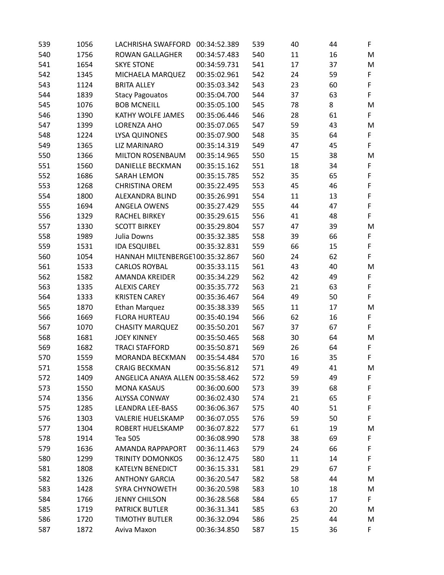| 539 | 1056 | LACHRISHA SWAFFORD                | 00:34:52.389 | 539 | 40 | 44 | F  |
|-----|------|-----------------------------------|--------------|-----|----|----|----|
| 540 | 1756 | <b>ROWAN GALLAGHER</b>            | 00:34:57.483 | 540 | 11 | 16 | M  |
| 541 | 1654 | <b>SKYE STONE</b>                 | 00:34:59.731 | 541 | 17 | 37 | M  |
| 542 | 1345 | MICHAELA MARQUEZ                  | 00:35:02.961 | 542 | 24 | 59 | F  |
| 543 | 1124 | <b>BRITA ALLEY</b>                | 00:35:03.342 | 543 | 23 | 60 | F  |
| 544 | 1839 | <b>Stacy Pagouatos</b>            | 00:35:04.700 | 544 | 37 | 63 | F  |
| 545 | 1076 | <b>BOB MCNEILL</b>                | 00:35:05.100 | 545 | 78 | 8  | M  |
| 546 | 1390 | KATHY WOLFE JAMES                 | 00:35:06.446 | 546 | 28 | 61 | F  |
| 547 | 1399 | LORENZA AHO                       | 00:35:07.065 | 547 | 59 | 43 | M  |
| 548 | 1224 | LYSA QUINONES                     | 00:35:07.900 | 548 | 35 | 64 | F  |
| 549 | 1365 | <b>LIZ MARINARO</b>               | 00:35:14.319 | 549 | 47 | 45 | F  |
| 550 | 1366 | <b>MILTON ROSENBAUM</b>           | 00:35:14.965 | 550 | 15 | 38 | M  |
| 551 | 1560 | <b>DANIELLE BECKMAN</b>           | 00:35:15.162 | 551 | 18 | 34 | F  |
| 552 | 1686 | <b>SARAH LEMON</b>                | 00:35:15.785 | 552 | 35 | 65 | F  |
| 553 | 1268 | <b>CHRISTINA OREM</b>             | 00:35:22.495 | 553 | 45 | 46 | F  |
| 554 | 1800 | ALEXANDRA BLIND                   | 00:35:26.991 | 554 | 11 | 13 | F  |
| 555 | 1694 | ANGELA OWENS                      | 00:35:27.429 | 555 | 44 | 47 | F  |
| 556 | 1329 | <b>RACHEL BIRKEY</b>              | 00:35:29.615 | 556 | 41 | 48 | F  |
| 557 | 1330 | <b>SCOTT BIRKEY</b>               | 00:35:29.804 | 557 | 47 | 39 | M  |
| 558 | 1989 | Julia Downs                       | 00:35:32.385 | 558 | 39 | 66 | F  |
| 559 | 1531 | <b>IDA ESQUIBEL</b>               | 00:35:32.831 | 559 | 66 | 15 | F  |
| 560 | 1054 | HANNAH MILTENBERGE100:35:32.867   |              | 560 | 24 | 62 | F  |
| 561 | 1533 | <b>CARLOS ROYBAL</b>              | 00:35:33.115 | 561 | 43 | 40 | M  |
| 562 | 1582 | AMANDA KREIDER                    | 00:35:34.229 | 562 | 42 | 49 | F  |
| 563 | 1335 | <b>ALEXIS CAREY</b>               | 00:35:35.772 | 563 | 21 | 63 | F  |
| 564 | 1333 | <b>KRISTEN CAREY</b>              | 00:35:36.467 | 564 | 49 | 50 | F  |
| 565 | 1870 | <b>Ethan Marquez</b>              | 00:35:38.339 | 565 | 11 | 17 | M  |
| 566 | 1669 | <b>FLORA HURTEAU</b>              | 00:35:40.194 | 566 | 62 | 16 | F  |
| 567 | 1070 | <b>CHASITY MARQUEZ</b>            | 00:35:50.201 | 567 | 37 | 67 | F  |
| 568 | 1681 | <b>JOEY KINNEY</b>                | 00:35:50.465 | 568 | 30 | 64 | M  |
| 569 | 1682 | <b>TRACI STAFFORD</b>             | 00:35:50.871 | 569 | 26 | 64 | F  |
| 570 | 1559 | MORANDA BECKMAN                   | 00:35:54.484 | 570 | 16 | 35 | F  |
| 571 | 1558 | <b>CRAIG BECKMAN</b>              | 00:35:56.812 | 571 | 49 | 41 | M  |
| 572 | 1409 | ANGELICA ANAYA ALLEN 00:35:58.462 |              | 572 | 59 | 49 | F  |
| 573 | 1550 | <b>MONA KASAUS</b>                | 00:36:00.600 | 573 | 39 | 68 | F  |
| 574 | 1356 | <b>ALYSSA CONWAY</b>              | 00:36:02.430 | 574 | 21 | 65 | F  |
| 575 | 1285 | <b>LEANDRA LEE-BASS</b>           | 00:36:06.367 | 575 | 40 | 51 | F  |
| 576 | 1303 | <b>VALERIE HUELSKAMP</b>          | 00:36:07.055 | 576 | 59 | 50 | F  |
| 577 | 1304 | ROBERT HUELSKAMP                  | 00:36:07.822 | 577 | 61 | 19 | M  |
| 578 | 1914 | Tea 505                           | 00:36:08.990 | 578 | 38 | 69 | F  |
| 579 | 1636 | <b>AMANDA RAPPAPORT</b>           | 00:36:11.463 | 579 | 24 | 66 | F  |
| 580 | 1299 | <b>TRINITY DOMONKOS</b>           | 00:36:12.475 | 580 | 11 | 14 | F  |
| 581 | 1808 | <b>KATELYN BENEDICT</b>           | 00:36:15.331 | 581 | 29 | 67 | F  |
| 582 | 1326 | <b>ANTHONY GARCIA</b>             | 00:36:20.547 | 582 | 58 | 44 | M  |
| 583 | 1428 | SYRA CHYNOWETH                    | 00:36:20.598 | 583 | 10 | 18 | M  |
| 584 | 1766 | <b>JENNY CHILSON</b>              | 00:36:28.568 | 584 | 65 | 17 | F  |
| 585 | 1719 | PATRICK BUTLER                    | 00:36:31.341 | 585 | 63 | 20 | M  |
| 586 | 1720 | <b>TIMOTHY BUTLER</b>             | 00:36:32.094 | 586 | 25 | 44 | M  |
| 587 | 1872 | Aviva Maxon                       | 00:36:34.850 | 587 | 15 | 36 | F. |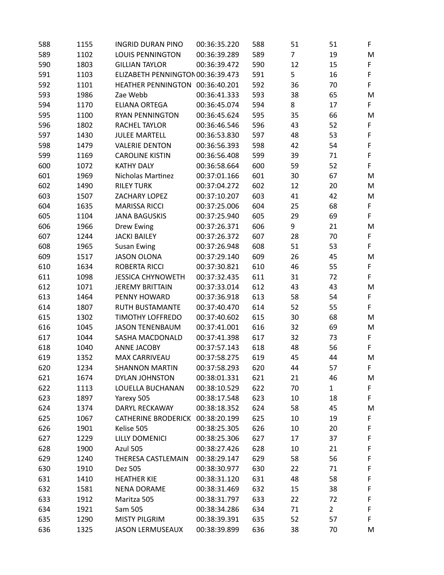| 588 | 1155 | <b>INGRID DURAN PINO</b>          | 00:36:35.220 | 588 | 51             | 51             | F           |
|-----|------|-----------------------------------|--------------|-----|----------------|----------------|-------------|
| 589 | 1102 | <b>LOUIS PENNINGTON</b>           | 00:36:39.289 | 589 | $\overline{7}$ | 19             | M           |
| 590 | 1803 | <b>GILLIAN TAYLOR</b>             | 00:36:39.472 | 590 | 12             | 15             | F           |
| 591 | 1103 | ELIZABETH PENNINGTON 00:36:39.473 |              | 591 | 5              | 16             | $\mathsf F$ |
| 592 | 1101 | HEATHER PENNINGTON 00:36:40.201   |              | 592 | 36             | 70             | F           |
| 593 | 1986 | Zae Webb                          | 00:36:41.333 | 593 | 38             | 65             | M           |
| 594 | 1170 | <b>ELIANA ORTEGA</b>              | 00:36:45.074 | 594 | 8              | 17             | F           |
| 595 | 1100 | <b>RYAN PENNINGTON</b>            | 00:36:45.624 | 595 | 35             | 66             | M           |
| 596 | 1802 | RACHEL TAYLOR                     | 00:36:46.546 | 596 | 43             | 52             | F           |
| 597 | 1430 | <b>JULEE MARTELL</b>              | 00:36:53.830 | 597 | 48             | 53             | $\mathsf F$ |
| 598 | 1479 | <b>VALERIE DENTON</b>             | 00:36:56.393 | 598 | 42             | 54             | $\mathsf F$ |
| 599 | 1169 | <b>CAROLINE KISTIN</b>            | 00:36:56.408 | 599 | 39             | 71             | $\mathsf F$ |
| 600 | 1072 | <b>KATHY DALY</b>                 | 00:36:58.664 | 600 | 59             | 52             | F           |
| 601 | 1969 | Nicholas Martinez                 | 00:37:01.166 | 601 | 30             | 67             | M           |
| 602 | 1490 | <b>RILEY TURK</b>                 | 00:37:04.272 | 602 | 12             | 20             | M           |
| 603 | 1507 | ZACHARY LOPEZ                     | 00:37:10.207 | 603 | 41             | 42             | M           |
| 604 | 1635 | <b>MARISSA RICCI</b>              | 00:37:25.006 | 604 | 25             | 68             | F           |
| 605 | 1104 | <b>JANA BAGUSKIS</b>              | 00:37:25.940 | 605 | 29             | 69             | F           |
| 606 | 1966 | Drew Ewing                        | 00:37:26.371 | 606 | 9              | 21             | M           |
| 607 | 1244 | <b>JACKI BAILEY</b>               | 00:37:26.372 | 607 | 28             | 70             | F           |
| 608 | 1965 | <b>Susan Ewing</b>                | 00:37:26.948 | 608 | 51             | 53             | F           |
| 609 | 1517 | <b>JASON OLONA</b>                | 00:37:29.140 | 609 | 26             | 45             | M           |
| 610 | 1634 | <b>ROBERTA RICCI</b>              | 00:37:30.821 | 610 | 46             | 55             | F           |
| 611 | 1098 | <b>JESSICA CHYNOWETH</b>          | 00:37:32.435 | 611 | 31             | 72             | F           |
| 612 | 1071 | <b>JEREMY BRITTAIN</b>            | 00:37:33.014 | 612 | 43             | 43             | M           |
| 613 | 1464 | PENNY HOWARD                      | 00:37:36.918 | 613 | 58             | 54             | F           |
| 614 | 1807 | RUTH BUSTAMANTE                   | 00:37:40.470 | 614 | 52             | 55             | F.          |
| 615 | 1302 | <b>TIMOTHY LOFFREDO</b>           | 00:37:40.602 | 615 | 30             | 68             | M           |
| 616 | 1045 | <b>JASON TENENBAUM</b>            | 00:37:41.001 | 616 | 32             | 69             | M           |
| 617 | 1044 | SASHA MACDONALD                   | 00:37:41.398 | 617 | 32             | 73             | F           |
| 618 | 1040 | <b>ANNE JACOBY</b>                | 00:37:57.143 | 618 | 48             | 56             | F           |
| 619 | 1352 | <b>MAX CARRIVEAU</b>              | 00:37:58.275 | 619 | 45             | 44             | M           |
| 620 | 1234 | <b>SHANNON MARTIN</b>             | 00:37:58.293 | 620 | 44             | 57             | F           |
| 621 | 1674 | DYLAN JOHNSTON                    | 00:38:01.331 | 621 | 21             | 46             | M           |
| 622 | 1113 | LOUELLA BUCHANAN                  | 00:38:10.529 | 622 | 70             | $\mathbf 1$    | F           |
| 623 | 1897 | Yarexy 505                        | 00:38:17.548 | 623 | 10             | 18             | F           |
| 624 | 1374 | DARYL RECKAWAY                    | 00:38:18.352 | 624 | 58             | 45             | M           |
| 625 | 1067 | CATHERINE BRODERICK 00:38:20.199  |              | 625 | 10             | 19             | F           |
| 626 | 1901 | Kelise 505                        | 00:38:25.305 | 626 | 10             | 20             | F           |
| 627 | 1229 | LILLY DOMENICI                    | 00:38:25.306 | 627 | 17             | 37             | F           |
| 628 | 1900 | Azul 505                          | 00:38:27.426 | 628 | 10             | 21             | F           |
| 629 | 1240 | THERESA CASTLEMAIN                | 00:38:29.147 | 629 | 58             | 56             | F           |
| 630 | 1910 | Dez 505                           | 00:38:30.977 | 630 | 22             | 71             | F           |
| 631 | 1410 | <b>HEATHER KIE</b>                | 00:38:31.120 | 631 | 48             | 58             | F           |
| 632 | 1581 | <b>NENA DORAME</b>                | 00:38:31.469 | 632 | 15             | 38             | F           |
| 633 | 1912 | Maritza 505                       | 00:38:31.797 | 633 | 22             | 72             | F           |
| 634 | 1921 | Sam 505                           | 00:38:34.286 | 634 | 71             | $\overline{2}$ | F           |
| 635 | 1290 | <b>MISTY PILGRIM</b>              | 00:38:39.391 | 635 | 52             | 57             | F           |
| 636 | 1325 | <b>JASON LERMUSEAUX</b>           | 00:38:39.899 | 636 | 38             | 70             | M           |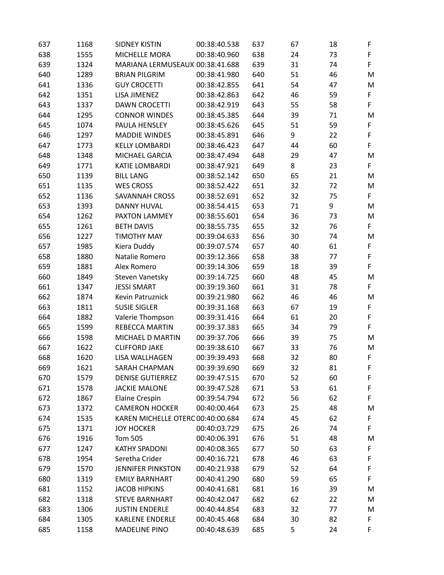| 637 | 1168 | <b>SIDNEY KISTIN</b>              | 00:38:40.538 | 637 | 67 | 18 | F           |
|-----|------|-----------------------------------|--------------|-----|----|----|-------------|
| 638 | 1555 | MICHELLE MORA                     | 00:38:40.960 | 638 | 24 | 73 | F           |
| 639 | 1324 | MARIANA LERMUSEAUX 00:38:41.688   |              | 639 | 31 | 74 | F           |
| 640 | 1289 | <b>BRIAN PILGRIM</b>              | 00:38:41.980 | 640 | 51 | 46 | M           |
| 641 | 1336 | <b>GUY CROCETTI</b>               | 00:38:42.855 | 641 | 54 | 47 | M           |
| 642 | 1351 | LISA JIMENEZ                      | 00:38:42.863 | 642 | 46 | 59 | $\mathsf F$ |
| 643 | 1337 | <b>DAWN CROCETTI</b>              | 00:38:42.919 | 643 | 55 | 58 | F           |
| 644 | 1295 | <b>CONNOR WINDES</b>              | 00:38:45.385 | 644 | 39 | 71 | M           |
| 645 | 1074 | PAULA HENSLEY                     | 00:38:45.626 | 645 | 51 | 59 | F           |
| 646 | 1297 | <b>MADDIE WINDES</b>              | 00:38:45.891 | 646 | 9  | 22 | $\mathsf F$ |
| 647 | 1773 | <b>KELLY LOMBARDI</b>             | 00:38:46.423 | 647 | 44 | 60 | F           |
| 648 | 1348 | MICHAEL GARCIA                    | 00:38:47.494 | 648 | 29 | 47 | M           |
| 649 | 1771 | <b>KATIE LOMBARDI</b>             | 00:38:47.921 | 649 | 8  | 23 | F           |
| 650 | 1139 | <b>BILL LANG</b>                  | 00:38:52.142 | 650 | 65 | 21 | M           |
| 651 | 1135 | <b>WES CROSS</b>                  | 00:38:52.422 | 651 | 32 | 72 | M           |
| 652 | 1136 | <b>SAVANNAH CROSS</b>             | 00:38:52.691 | 652 | 32 | 75 | F           |
| 653 | 1393 | <b>DANNY HUVAL</b>                | 00:38:54.415 | 653 | 71 | 9  | M           |
| 654 | 1262 | PAXTON LAMMEY                     | 00:38:55.601 | 654 | 36 | 73 | M           |
| 655 | 1261 | <b>BETH DAVIS</b>                 | 00:38:55.735 | 655 | 32 | 76 | F           |
| 656 | 1227 | <b>TIMOTHY MAY</b>                | 00:39:04.633 | 656 | 30 | 74 | M           |
| 657 | 1985 | Kiera Duddy                       | 00:39:07.574 | 657 | 40 | 61 | F           |
| 658 | 1880 | Natalie Romero                    | 00:39:12.366 | 658 | 38 | 77 | F           |
| 659 | 1881 | Alex Romero                       | 00:39:14.306 | 659 | 18 | 39 | F           |
| 660 | 1849 | Steven Vanetsky                   | 00:39:14.725 | 660 | 48 | 45 | M           |
| 661 | 1347 | <b>JESSI SMART</b>                | 00:39:19.360 | 661 | 31 | 78 | F           |
| 662 | 1874 | Kevin Patruznick                  | 00:39:21.980 | 662 | 46 | 46 | M           |
| 663 | 1811 | <b>SUSIE SIGLER</b>               | 00:39:31.168 | 663 | 67 | 19 | F           |
| 664 | 1882 | Valerie Thompson                  | 00:39:31.416 | 664 | 61 | 20 | F           |
| 665 | 1599 | <b>REBECCA MARTIN</b>             | 00:39:37.383 | 665 | 34 | 79 | F           |
| 666 | 1598 | MICHAEL D MARTIN                  | 00:39:37.706 | 666 | 39 | 75 | M           |
| 667 | 1622 | <b>CLIFFORD JAKE</b>              | 00:39:38.610 | 667 | 33 | 76 | M           |
| 668 | 1620 | LISA WALLHAGEN                    | 00:39:39.493 | 668 | 32 | 80 | F           |
| 669 | 1621 | SARAH CHAPMAN                     | 00:39:39.690 | 669 | 32 | 81 | F           |
| 670 | 1579 | <b>DENISE GUTIERREZ</b>           | 00:39:47.515 | 670 | 52 | 60 | F           |
| 671 | 1578 | <b>JACKIE MALONE</b>              | 00:39:47.528 | 671 | 53 | 61 | F           |
| 672 | 1867 | <b>Elaine Crespin</b>             | 00:39:54.794 | 672 | 56 | 62 | F           |
| 673 | 1372 | <b>CAMERON HOCKER</b>             | 00:40:00.464 | 673 | 25 | 48 | M           |
| 674 | 1535 | KAREN MICHELLE OTERC 00:40:00.684 |              | 674 | 45 | 62 | F           |
| 675 | 1371 | <b>JOY HOCKER</b>                 | 00:40:03.729 | 675 | 26 | 74 | F           |
| 676 | 1916 | <b>Tom 505</b>                    | 00:40:06.391 | 676 | 51 | 48 | M           |
| 677 | 1247 | <b>KATHY SPADONI</b>              | 00:40:08.365 | 677 | 50 | 63 | F           |
| 678 | 1954 | Seretha Crider                    | 00:40:16.721 | 678 | 46 | 63 | F           |
| 679 | 1570 | <b>JENNIFER PINKSTON</b>          | 00:40:21.938 | 679 | 52 | 64 | F           |
| 680 | 1319 | <b>EMILY BARNHART</b>             | 00:40:41.290 | 680 | 59 | 65 | F           |
| 681 | 1152 | <b>JACOB HIPKINS</b>              | 00:40:41.681 | 681 | 16 | 39 | M           |
| 682 | 1318 | <b>STEVE BARNHART</b>             | 00:40:42.047 | 682 | 62 | 22 | M           |
| 683 | 1306 | <b>JUSTIN ENDERLE</b>             | 00:40:44.854 | 683 | 32 | 77 | M           |
| 684 | 1305 | <b>KARLENE ENDERLE</b>            | 00:40:45.468 | 684 | 30 | 82 | F           |
| 685 | 1158 | <b>MADELINE PINO</b>              | 00:40:48.639 | 685 | 5  | 24 | F           |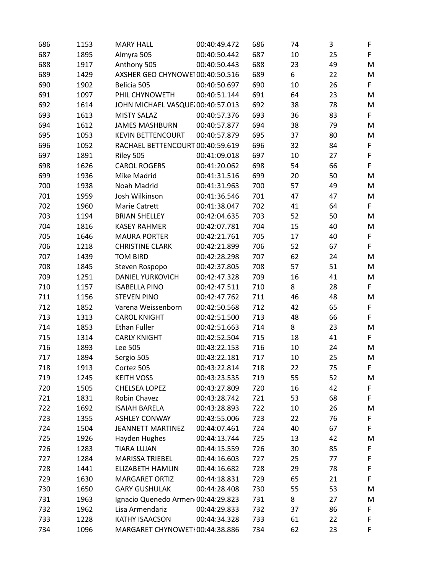| 686 | 1153 | <b>MARY HALL</b>                   | 00:40:49.472 | 686 | 74 | 3  | F |
|-----|------|------------------------------------|--------------|-----|----|----|---|
| 687 | 1895 | Almyra 505                         | 00:40:50.442 | 687 | 10 | 25 | F |
| 688 | 1917 | Anthony 505                        | 00:40:50.443 | 688 | 23 | 49 | M |
| 689 | 1429 | AXSHER GEO CHYNOWE100:40:50.516    |              | 689 | 6  | 22 | M |
| 690 | 1902 | Belicia 505                        | 00:40:50.697 | 690 | 10 | 26 | F |
| 691 | 1097 | PHIL CHYNOWETH                     | 00:40:51.144 | 691 | 64 | 23 | M |
| 692 | 1614 | JOHN MICHAEL VASQUE 00:40:57.013   |              | 692 | 38 | 78 | M |
| 693 | 1613 | <b>MISTY SALAZ</b>                 | 00:40:57.376 | 693 | 36 | 83 | F |
| 694 | 1612 | <b>JAMES MASHBURN</b>              | 00:40:57.877 | 694 | 38 | 79 | M |
| 695 | 1053 | <b>KEVIN BETTENCOURT</b>           | 00:40:57.879 | 695 | 37 | 80 | M |
| 696 | 1052 | RACHAEL BETTENCOURT 00:40:59.619   |              | 696 | 32 | 84 | F |
| 697 | 1891 | Riley 505                          | 00:41:09.018 | 697 | 10 | 27 | F |
| 698 | 1626 | <b>CAROL ROGERS</b>                | 00:41:20.062 | 698 | 54 | 66 | F |
| 699 | 1936 | Mike Madrid                        | 00:41:31.516 | 699 | 20 | 50 | M |
| 700 | 1938 | Noah Madrid                        | 00:41:31.963 | 700 | 57 | 49 | M |
| 701 | 1959 | Josh Wilkinson                     | 00:41:36.546 | 701 | 47 | 47 | M |
| 702 | 1960 | Marie Catrett                      | 00:41:38.047 | 702 | 41 | 64 | F |
| 703 | 1194 | <b>BRIAN SHELLEY</b>               | 00:42:04.635 | 703 | 52 | 50 | M |
| 704 | 1816 | <b>KASEY RAHMER</b>                | 00:42:07.781 | 704 | 15 | 40 | M |
| 705 | 1646 | <b>MAURA PORTER</b>                | 00:42:21.761 | 705 | 17 | 40 | F |
| 706 | 1218 | <b>CHRISTINE CLARK</b>             | 00:42:21.899 | 706 | 52 | 67 | F |
| 707 | 1439 | <b>TOM BIRD</b>                    | 00:42:28.298 | 707 | 62 | 24 | M |
| 708 | 1845 | Steven Rospopo                     | 00:42:37.805 | 708 | 57 | 51 | M |
| 709 | 1251 | <b>DANIEL YURKOVICH</b>            | 00:42:47.328 | 709 | 16 | 41 | M |
| 710 | 1157 | <b>ISABELLA PINO</b>               | 00:42:47.511 | 710 | 8  | 28 | F |
| 711 | 1156 | <b>STEVEN PINO</b>                 | 00:42:47.762 | 711 | 46 | 48 | M |
| 712 | 1852 | Varena Weissenborn                 | 00:42:50.568 | 712 | 42 | 65 | F |
| 713 | 1313 | <b>CAROL KNIGHT</b>                | 00:42:51.500 | 713 | 48 | 66 | F |
| 714 | 1853 | <b>Ethan Fuller</b>                | 00:42:51.663 | 714 | 8  | 23 | M |
| 715 | 1314 | <b>CARLY KNIGHT</b>                | 00:42:52.504 | 715 | 18 | 41 | F |
| 716 | 1893 | Lee 505                            | 00:43:22.153 | 716 | 10 | 24 | M |
| 717 | 1894 | Sergio 505                         | 00:43:22.181 | 717 | 10 | 25 | M |
| 718 | 1913 | Cortez 505                         | 00:43:22.814 | 718 | 22 | 75 | F |
| 719 | 1245 | <b>KEITH VOSS</b>                  | 00:43:23.535 | 719 | 55 | 52 | M |
| 720 | 1505 | <b>CHELSEA LOPEZ</b>               | 00:43:27.809 | 720 | 16 | 42 | F |
| 721 | 1831 | Robin Chavez                       | 00:43:28.742 | 721 | 53 | 68 | F |
| 722 | 1692 | <b>ISAIAH BARELA</b>               | 00:43:28.893 | 722 | 10 | 26 | M |
| 723 | 1355 | <b>ASHLEY CONWAY</b>               | 00:43:55.006 | 723 | 22 | 76 | F |
| 724 | 1504 | <b>JEANNETT MARTINEZ</b>           | 00:44:07.461 | 724 | 40 | 67 | F |
| 725 | 1926 | Hayden Hughes                      | 00:44:13.744 | 725 | 13 | 42 | M |
| 726 | 1283 | <b>TIARA LUJAN</b>                 | 00:44:15.559 | 726 | 30 | 85 | F |
| 727 | 1284 | <b>MARISSA TRIEBEL</b>             | 00:44:16.603 | 727 | 25 | 77 | F |
| 728 | 1441 | <b>ELIZABETH HAMLIN</b>            | 00:44:16.682 | 728 | 29 | 78 | F |
| 729 | 1630 | <b>MARGARET ORTIZ</b>              | 00:44:18.831 | 729 | 65 | 21 | F |
| 730 | 1650 | <b>GARY GUSHULAK</b>               | 00:44:28.408 | 730 | 55 | 53 | M |
| 731 | 1963 | Ignacio Quenedo Armen 00:44:29.823 |              | 731 | 8  | 27 | M |
| 732 | 1962 | Lisa Armendariz                    | 00:44:29.833 | 732 | 37 | 86 | F |
| 733 | 1228 | KATHY ISAACSON                     | 00:44:34.328 | 733 | 61 | 22 | F |
| 734 | 1096 | MARGARET CHYNOWETI 00:44:38.886    |              | 734 | 62 | 23 | F |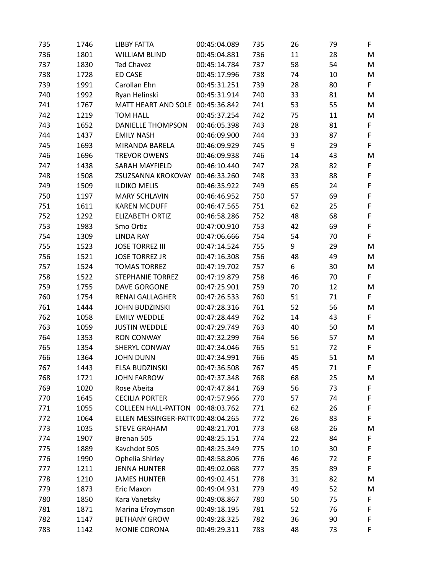| 735 | 1746 | <b>LIBBY FATTA</b>                | 00:45:04.089 | 735 | 26 | 79 | F  |
|-----|------|-----------------------------------|--------------|-----|----|----|----|
| 736 | 1801 | <b>WILLIAM BLIND</b>              | 00:45:04.881 | 736 | 11 | 28 | M  |
| 737 | 1830 | <b>Ted Chavez</b>                 | 00:45:14.784 | 737 | 58 | 54 | M  |
| 738 | 1728 | <b>ED CASE</b>                    | 00:45:17.996 | 738 | 74 | 10 | M  |
| 739 | 1991 | Carollan Ehn                      | 00:45:31.251 | 739 | 28 | 80 | F  |
| 740 | 1992 | Ryan Helinski                     | 00:45:31.914 | 740 | 33 | 81 | M  |
| 741 | 1767 | MATT HEART AND SOLE 00:45:36.842  |              | 741 | 53 | 55 | M  |
| 742 | 1219 | <b>TOM HALL</b>                   | 00:45:37.254 | 742 | 75 | 11 | M  |
| 743 | 1652 | <b>DANIELLE THOMPSON</b>          | 00:46:05.398 | 743 | 28 | 81 | F  |
| 744 | 1437 | <b>EMILY NASH</b>                 | 00:46:09.900 | 744 | 33 | 87 | F  |
| 745 | 1693 | MIRANDA BARELA                    | 00:46:09.929 | 745 | 9  | 29 | F  |
| 746 | 1696 | <b>TREVOR OWENS</b>               | 00:46:09.938 | 746 | 14 | 43 | M  |
| 747 | 1438 | SARAH MAYFIELD                    | 00:46:10.440 | 747 | 28 | 82 | F  |
| 748 | 1508 | ZSUZSANNA KROKOVAY                | 00:46:33.260 | 748 | 33 | 88 | F  |
| 749 | 1509 | <b>ILDIKO MELIS</b>               | 00:46:35.922 | 749 | 65 | 24 | F  |
| 750 | 1197 | <b>MARY SCHLAVIN</b>              | 00:46:46.952 | 750 | 57 | 69 | F  |
| 751 | 1611 | <b>KAREN MCDUFF</b>               | 00:46:47.565 | 751 | 62 | 25 | F  |
| 752 | 1292 | <b>ELIZABETH ORTIZ</b>            | 00:46:58.286 | 752 | 48 | 68 | F  |
| 753 | 1983 | Smo Ortiz                         | 00:47:00.910 | 753 | 42 | 69 | F  |
| 754 | 1309 | <b>LINDA RAY</b>                  | 00:47:06.666 | 754 | 54 | 70 | F. |
| 755 | 1523 | <b>JOSE TORREZ III</b>            | 00:47:14.524 | 755 | 9  | 29 | M  |
| 756 | 1521 | <b>JOSE TORREZ JR</b>             | 00:47:16.308 | 756 | 48 | 49 | M  |
| 757 | 1524 | <b>TOMAS TORREZ</b>               | 00:47:19.702 | 757 | 6  | 30 | M  |
| 758 | 1522 | <b>STEPHANIE TORREZ</b>           | 00:47:19.879 | 758 | 46 | 70 | F  |
| 759 | 1755 | <b>DAVE GORGONE</b>               | 00:47:25.901 | 759 | 70 | 12 | M  |
| 760 | 1754 | <b>RENAI GALLAGHER</b>            | 00:47:26.533 | 760 | 51 | 71 | F. |
| 761 | 1444 | <b>JOHN BUDZINSKI</b>             | 00:47:28.316 | 761 | 52 | 56 | M  |
| 762 | 1058 | <b>EMILY WEDDLE</b>               | 00:47:28.449 | 762 | 14 | 43 | F  |
| 763 | 1059 | <b>JUSTIN WEDDLE</b>              | 00:47:29.749 | 763 | 40 | 50 | M  |
| 764 | 1353 | <b>RON CONWAY</b>                 | 00:47:32.299 | 764 | 56 | 57 | M  |
| 765 | 1354 | SHERYL CONWAY                     | 00:47:34.046 | 765 | 51 | 72 | F. |
| 766 | 1364 | <b>JOHN DUNN</b>                  | 00:47:34.991 | 766 | 45 | 51 | M  |
| 767 | 1443 | ELSA BUDZINSKI                    | 00:47:36.508 | 767 | 45 | 71 | F  |
| 768 | 1721 | <b>JOHN FARROW</b>                | 00:47:37.348 | 768 | 68 | 25 | M  |
| 769 | 1020 | Rose Abeita                       | 00:47:47.841 | 769 | 56 | 73 | F  |
| 770 | 1645 | <b>CECILIA PORTER</b>             | 00:47:57.966 | 770 | 57 | 74 | F  |
| 771 | 1055 | <b>COLLEEN HALL-PATTON</b>        | 00:48:03.762 | 771 | 62 | 26 | F  |
| 772 | 1064 | ELLEN MESSINGER-PATT(00:48:04.265 |              | 772 | 26 | 83 | F  |
| 773 | 1035 | <b>STEVE GRAHAM</b>               | 00:48:21.701 | 773 | 68 | 26 | M  |
| 774 | 1907 | Brenan 505                        | 00:48:25.151 | 774 | 22 | 84 | F  |
| 775 | 1889 | Kavchdot 505                      | 00:48:25.349 | 775 | 10 | 30 | F  |
| 776 | 1990 | Ophelia Shirley                   | 00:48:58.806 | 776 | 46 | 72 | F  |
| 777 | 1211 | <b>JENNA HUNTER</b>               | 00:49:02.068 | 777 | 35 | 89 | F  |
| 778 | 1210 | <b>JAMES HUNTER</b>               | 00:49:02.451 | 778 | 31 | 82 | M  |
| 779 | 1873 | Eric Maxon                        | 00:49:04.931 | 779 | 49 | 52 | M  |
| 780 | 1850 | Kara Vanetsky                     | 00:49:08.867 | 780 | 50 | 75 | F  |
| 781 | 1871 | Marina Efroymson                  | 00:49:18.195 | 781 | 52 | 76 | F  |
| 782 | 1147 | <b>BETHANY GROW</b>               | 00:49:28.325 | 782 | 36 | 90 | F  |
|     |      |                                   |              |     |    |    | F  |
| 783 | 1142 | MONIE CORONA                      | 00:49:29.311 | 783 | 48 | 73 |    |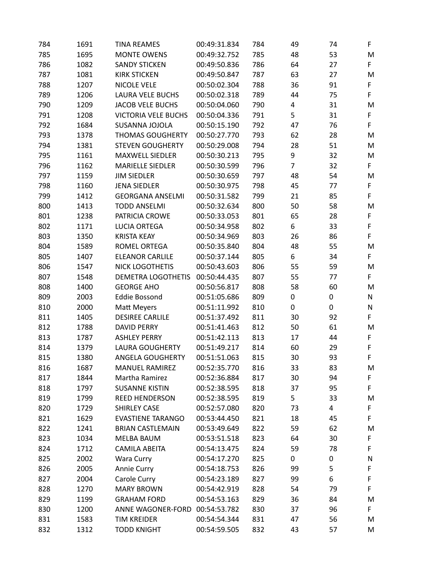| 784 | 1691 | <b>TINA REAMES</b>         | 00:49:31.834 | 784 | 49             | 74 | F           |
|-----|------|----------------------------|--------------|-----|----------------|----|-------------|
| 785 | 1695 | <b>MONTE OWENS</b>         | 00:49:32.752 | 785 | 48             | 53 | M           |
| 786 | 1082 | <b>SANDY STICKEN</b>       | 00:49:50.836 | 786 | 64             | 27 | F           |
| 787 | 1081 | <b>KIRK STICKEN</b>        | 00:49:50.847 | 787 | 63             | 27 | M           |
| 788 | 1207 | <b>NICOLE VELE</b>         | 00:50:02.304 | 788 | 36             | 91 | F           |
| 789 | 1206 | <b>LAURA VELE BUCHS</b>    | 00:50:02.318 | 789 | 44             | 75 | F           |
| 790 | 1209 | <b>JACOB VELE BUCHS</b>    | 00:50:04.060 | 790 | 4              | 31 | M           |
| 791 | 1208 | <b>VICTORIA VELE BUCHS</b> | 00:50:04.336 | 791 | 5              | 31 | F           |
| 792 | 1684 | SUSANNA JOJOLA             | 00:50:15.190 | 792 | 47             | 76 | F           |
| 793 | 1378 | <b>THOMAS GOUGHERTY</b>    | 00:50:27.770 | 793 | 62             | 28 | M           |
| 794 | 1381 | <b>STEVEN GOUGHERTY</b>    | 00:50:29.008 | 794 | 28             | 51 | M           |
| 795 | 1161 | <b>MAXWELL SIEDLER</b>     | 00:50:30.213 | 795 | 9              | 32 | M           |
| 796 | 1162 | <b>MARIELLE SIEDLER</b>    | 00:50:30.599 | 796 | $\overline{7}$ | 32 | F           |
| 797 | 1159 | <b>JIM SIEDLER</b>         | 00:50:30.659 | 797 | 48             | 54 | M           |
| 798 | 1160 | <b>JENA SIEDLER</b>        | 00:50:30.975 | 798 | 45             | 77 | F           |
| 799 | 1412 | <b>GEORGANA ANSELMI</b>    | 00:50:31.582 | 799 | 21             | 85 | F           |
| 800 | 1413 | <b>TODD ANSELMI</b>        | 00:50:32.634 | 800 | 50             | 58 | M           |
| 801 | 1238 | PATRICIA CROWE             | 00:50:33.053 | 801 | 65             | 28 | F           |
| 802 | 1171 | <b>LUCIA ORTEGA</b>        | 00:50:34.958 | 802 | 6              | 33 | F           |
| 803 | 1350 | <b>KRISTA KEAY</b>         | 00:50:34.969 | 803 | 26             | 86 | F           |
| 804 | 1589 | ROMEL ORTEGA               | 00:50:35.840 | 804 | 48             | 55 | M           |
| 805 | 1407 | <b>ELEANOR CARLILE</b>     | 00:50:37.144 | 805 | 6              | 34 | F           |
| 806 | 1547 | <b>NICK LOGOTHETIS</b>     | 00:50:43.603 | 806 | 55             | 59 | M           |
| 807 | 1548 | <b>DEMETRA LOGOTHETIS</b>  | 00:50:44.435 | 807 | 55             | 77 | F           |
| 808 | 1400 | <b>GEORGE AHO</b>          | 00:50:56.817 | 808 | 58             | 60 | M           |
| 809 | 2003 | <b>Eddie Bossond</b>       | 00:51:05.686 | 809 | 0              | 0  | N           |
| 810 | 2000 | Matt Meyers                | 00:51:11.992 | 810 | 0              | 0  | ${\sf N}$   |
| 811 | 1405 | <b>DESIREE CARLILE</b>     | 00:51:37.492 | 811 | 30             | 92 | F           |
| 812 | 1788 | <b>DAVID PERRY</b>         | 00:51:41.463 | 812 | 50             | 61 | M           |
| 813 | 1787 | <b>ASHLEY PERRY</b>        | 00:51:42.113 | 813 | 17             | 44 | F           |
| 814 | 1379 | <b>LAURA GOUGHERTY</b>     | 00:51:49.217 | 814 | 60             | 29 | $\mathsf F$ |
| 815 | 1380 | ANGELA GOUGHERTY           | 00:51:51.063 | 815 | 30             | 93 | F           |
| 816 | 1687 | <b>MANUEL RAMIREZ</b>      | 00:52:35.770 | 816 | 33             | 83 | M           |
| 817 | 1844 | Martha Ramirez             | 00:52:36.884 | 817 | 30             | 94 | F           |
| 818 | 1797 | <b>SUSANNE KISTIN</b>      | 00:52:38.595 | 818 | 37             | 95 | F           |
| 819 | 1799 | <b>REED HENDERSON</b>      | 00:52:38.595 | 819 | 5              | 33 | M           |
| 820 | 1729 | <b>SHIRLEY CASE</b>        | 00:52:57.080 | 820 | 73             | 4  | F           |
| 821 | 1629 | <b>EVASTIENE TARANGO</b>   | 00:53:44.450 | 821 | 18             | 45 | F           |
| 822 | 1241 | <b>BRIAN CASTLEMAIN</b>    | 00:53:49.649 | 822 | 59             | 62 | M           |
| 823 | 1034 | <b>MELBA BAUM</b>          | 00:53:51.518 | 823 | 64             | 30 | F           |
| 824 | 1712 | <b>CAMILA ABEITA</b>       | 00:54:13.475 | 824 | 59             | 78 | F           |
| 825 | 2002 | Wara Curry                 | 00:54:17.270 | 825 | 0              | 0  | N           |
| 826 | 2005 | Annie Curry                | 00:54:18.753 | 826 | 99             | 5  | F           |
| 827 | 2004 | Carole Curry               | 00:54:23.189 | 827 | 99             | 6  | F           |
| 828 | 1270 | <b>MARY BROWN</b>          | 00:54:42.919 | 828 | 54             | 79 | F           |
| 829 | 1199 | <b>GRAHAM FORD</b>         | 00:54:53.163 | 829 | 36             | 84 | M           |
| 830 | 1200 | ANNE WAGONER-FORD          | 00:54:53.782 | 830 | 37             | 96 | F           |
| 831 | 1583 | <b>TIM KREIDER</b>         | 00:54:54.344 | 831 | 47             | 56 | M           |
| 832 | 1312 | <b>TODD KNIGHT</b>         | 00:54:59.505 | 832 | 43             | 57 | M           |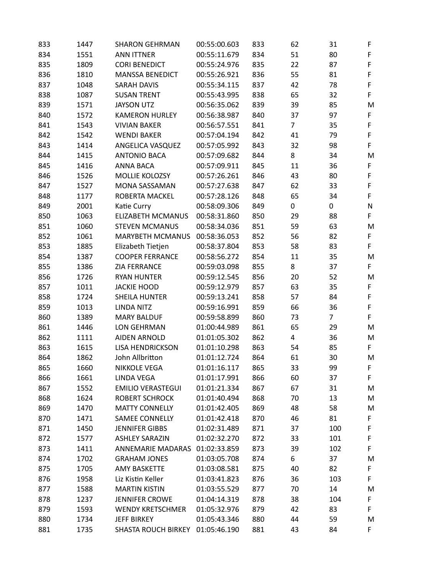| 833 | 1447 | <b>SHARON GEHRMAN</b>    | 00:55:00.603 | 833 | 62             | 31             | F           |
|-----|------|--------------------------|--------------|-----|----------------|----------------|-------------|
| 834 | 1551 | <b>ANN ITTNER</b>        | 00:55:11.679 | 834 | 51             | 80             | F           |
| 835 | 1809 | <b>CORI BENEDICT</b>     | 00:55:24.976 | 835 | 22             | 87             | $\mathsf F$ |
| 836 | 1810 | <b>MANSSA BENEDICT</b>   | 00:55:26.921 | 836 | 55             | 81             | $\mathsf F$ |
| 837 | 1048 | <b>SARAH DAVIS</b>       | 00:55:34.115 | 837 | 42             | 78             | F           |
| 838 | 1087 | <b>SUSAN TRENT</b>       | 00:55:43.995 | 838 | 65             | 32             | F           |
| 839 | 1571 | <b>JAYSON UTZ</b>        | 00:56:35.062 | 839 | 39             | 85             | M           |
| 840 | 1572 | <b>KAMERON HURLEY</b>    | 00:56:38.987 | 840 | 37             | 97             | F           |
| 841 | 1543 | <b>VIVIAN BAKER</b>      | 00:56:57.551 | 841 | $\overline{7}$ | 35             | $\mathsf F$ |
| 842 | 1542 | <b>WENDI BAKER</b>       | 00:57:04.194 | 842 | $41\,$         | 79             | $\mathsf F$ |
| 843 | 1414 | ANGELICA VASQUEZ         | 00:57:05.992 | 843 | 32             | 98             | F           |
| 844 | 1415 | <b>ANTONIO BACA</b>      | 00:57:09.682 | 844 | 8              | 34             | M           |
| 845 | 1416 | <b>ANNA BACA</b>         | 00:57:09.911 | 845 | 11             | 36             | F           |
| 846 | 1526 | MOLLIE KOLOZSY           | 00:57:26.261 | 846 | 43             | 80             | F           |
| 847 | 1527 | <b>MONA SASSAMAN</b>     | 00:57:27.638 | 847 | 62             | 33             | F           |
| 848 | 1177 | ROBERTA MACKEL           | 00:57:28.126 | 848 | 65             | 34             | $\mathsf F$ |
| 849 | 2001 | Katie Curry              | 00:58:09.306 | 849 | $\pmb{0}$      | 0              | ${\sf N}$   |
| 850 | 1063 | <b>ELIZABETH MCMANUS</b> | 00:58:31.860 | 850 | 29             | 88             | F           |
| 851 | 1060 | <b>STEVEN MCMANUS</b>    | 00:58:34.036 | 851 | 59             | 63             | M           |
| 852 | 1061 | <b>MARYBETH MCMANUS</b>  | 00:58:36.053 | 852 | 56             | 82             | F           |
| 853 | 1885 | Elizabeth Tietjen        | 00:58:37.804 | 853 | 58             | 83             | F           |
| 854 | 1387 | <b>COOPER FERRANCE</b>   | 00:58:56.272 | 854 | 11             | 35             | M           |
| 855 | 1386 | <b>ZIA FERRANCE</b>      | 00:59:03.098 | 855 | 8              | 37             | F           |
| 856 | 1726 | <b>RYAN HUNTER</b>       | 00:59:12.545 | 856 | 20             | 52             | M           |
| 857 | 1011 | <b>JACKIE HOOD</b>       | 00:59:12.979 | 857 | 63             | 35             | F           |
| 858 | 1724 | <b>SHEILA HUNTER</b>     | 00:59:13.241 | 858 | 57             | 84             | F           |
| 859 | 1013 | <b>LINDA NITZ</b>        | 00:59:16.991 | 859 | 66             | 36             | F           |
| 860 | 1389 | <b>MARY BALDUF</b>       | 00:59:58.899 | 860 | 73             | $\overline{7}$ | F           |
| 861 | 1446 | LON GEHRMAN              | 01:00:44.989 | 861 | 65             | 29             | M           |
| 862 | 1111 | <b>AIDEN ARNOLD</b>      | 01:01:05.302 | 862 | 4              | 36             | M           |
| 863 | 1615 | <b>LISA HENDRICKSON</b>  | 01:01:10.298 | 863 | 54             | 85             | F           |
| 864 | 1862 | John Allbritton          | 01:01:12.724 | 864 | 61             | 30             | M           |
| 865 | 1660 | <b>NIKKOLE VEGA</b>      | 01:01:16.117 | 865 | 33             | 99             | F.          |
| 866 | 1661 | LINDA VEGA               | 01:01:17.991 | 866 | 60             | 37             | F           |
| 867 | 1552 | <b>EMILIO VERASTEGUI</b> | 01:01:21.334 | 867 | 67             | 31             | M           |
| 868 | 1624 | <b>ROBERT SCHROCK</b>    | 01:01:40.494 | 868 | 70             | 13             | M           |
| 869 | 1470 | <b>MATTY CONNELLY</b>    | 01:01:42.405 | 869 | 48             | 58             | M           |
| 870 | 1471 | <b>SAMEE CONNELLY</b>    | 01:01:42.418 | 870 | 46             | 81             | F           |
| 871 | 1450 | <b>JENNIFER GIBBS</b>    | 01:02:31.489 | 871 | 37             | 100            | F           |
| 872 | 1577 | <b>ASHLEY SARAZIN</b>    | 01:02:32.270 | 872 | 33             | 101            | $\mathsf F$ |
| 873 | 1411 | <b>ANNEMARIE MADARAS</b> | 01:02:33.859 | 873 | 39             | 102            | F           |
| 874 | 1702 | <b>GRAHAM JONES</b>      | 01:03:05.708 | 874 | 6              | 37             | M           |
| 875 | 1705 | AMY BASKETTE             | 01:03:08.581 | 875 | 40             | 82             | F           |
| 876 | 1958 | Liz Kistin Keller        | 01:03:41.823 | 876 | 36             | 103            | F           |
| 877 | 1588 | <b>MARTIN KISTIN</b>     | 01:03:55.529 | 877 | 70             | 14             | M           |
| 878 | 1237 | <b>JENNIFER CROWE</b>    | 01:04:14.319 | 878 | 38             | 104            | F           |
| 879 | 1593 | <b>WENDY KRETSCHMER</b>  | 01:05:32.976 | 879 | 42             | 83             | F           |
| 880 | 1734 | <b>JEFF BIRKEY</b>       | 01:05:43.346 | 880 | 44             | 59             | M           |
| 881 | 1735 | SHASTA ROUCH BIRKEY      | 01:05:46.190 | 881 | 43             | 84             | F           |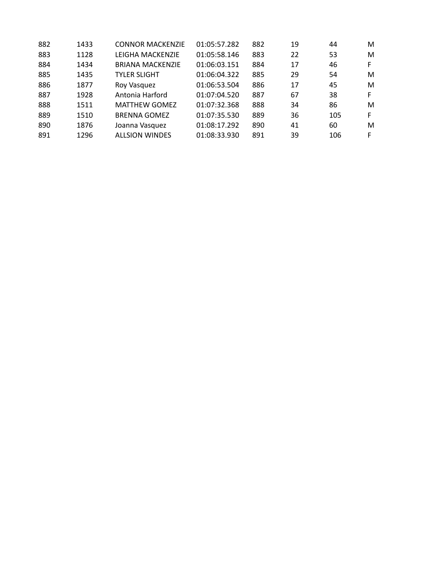| 882 | 1433 | <b>CONNOR MACKENZIE</b> | 01:05:57.282 | 882 | 19 | 44  | М  |
|-----|------|-------------------------|--------------|-----|----|-----|----|
| 883 | 1128 | LEIGHA MACKENZIE        | 01:05:58.146 | 883 | 22 | 53  | M  |
| 884 | 1434 | <b>BRIANA MACKENZIE</b> | 01:06:03.151 | 884 | 17 | 46  | F. |
| 885 | 1435 | <b>TYLER SLIGHT</b>     | 01:06:04.322 | 885 | 29 | 54  | M  |
| 886 | 1877 | Roy Vasquez             | 01:06:53.504 | 886 | 17 | 45  | M  |
| 887 | 1928 | Antonia Harford         | 01:07:04.520 | 887 | 67 | 38  | F. |
| 888 | 1511 | <b>MATTHEW GOMEZ</b>    | 01:07:32.368 | 888 | 34 | 86  | M  |
| 889 | 1510 | <b>BRENNA GOMEZ</b>     | 01:07:35.530 | 889 | 36 | 105 | F  |
| 890 | 1876 | Joanna Vasquez          | 01:08:17.292 | 890 | 41 | 60  | M  |
| 891 | 1296 | <b>ALLSION WINDES</b>   | 01:08:33.930 | 891 | 39 | 106 | F. |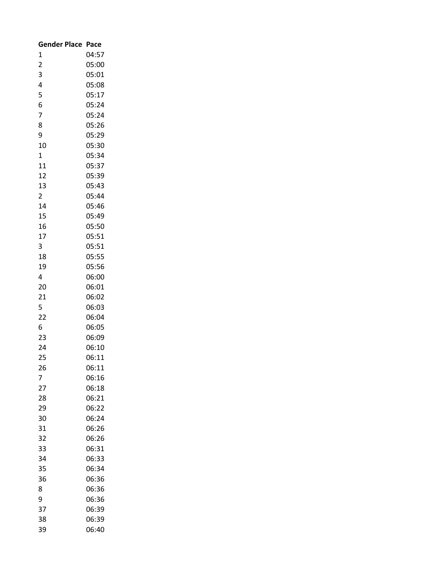| <b>Gender Place</b> | Pace  |
|---------------------|-------|
| 1                   | 04:57 |
| $\overline{2}$      | 05:00 |
| 3                   | 05:01 |
| 4                   | 05:08 |
| 5                   | 05:17 |
| 6                   | 05:24 |
| 7                   | 05:24 |
| 8                   | 05:26 |
| 9                   | 05:29 |
| 10                  | 05:30 |
| $\mathbf 1$         | 05:34 |
| 11                  | 05:37 |
| 12                  | 05:39 |
| 13                  | 05:43 |
| $\overline{2}$      | 05:44 |
| 14                  | 05:46 |
| 15                  | 05:49 |
| 16                  | 05:50 |
| 17                  | 05:51 |
| 3                   | 05:51 |
| 18                  | 05:55 |
| 19                  | 05:56 |
| 4                   | 06:00 |
| 20                  | 06:01 |
| 21                  | 06:02 |
| 5                   | 06:03 |
| $\overline{22}$     | 06:04 |
| 6                   | 06:05 |
| 23                  | 06:09 |
| 24                  | 06:10 |
| 25                  | 06:11 |
| 26                  | 06:11 |
| 7                   | 06:16 |
| 27                  | 06:18 |
| 28                  | 06:21 |
| 29                  | 06:22 |
| 30                  | 06:24 |
| 31                  | 06:26 |
| 32                  | 06:26 |
| 33                  | 06:31 |
| 34                  | 06:33 |
| 35                  | 06:34 |
| 36                  | 06:36 |
| 8                   | 06:36 |
| 9                   | 06:36 |
| 37                  | 06:39 |
| 38                  | 06:39 |
| 39                  | 06:40 |
|                     |       |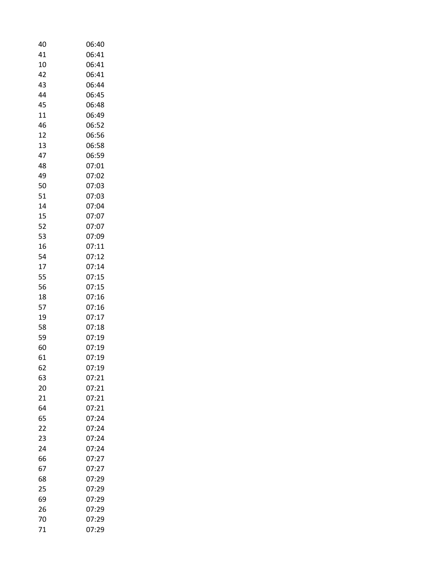| 40 | 06:40 |
|----|-------|
| 41 | 06:41 |
| 10 | 06:41 |
| 42 | 06:41 |
| 43 | 06:44 |
| 44 | 06:45 |
| 45 | 06:48 |
| 11 | 06:49 |
| 46 | 06:52 |
| 12 | 06:56 |
| 13 | 06:58 |
| 47 | 06:59 |
| 48 | 07:01 |
| 49 | 07:02 |
| 50 | 07:03 |
| 51 | 07:03 |
| 14 | 07:04 |
| 15 | 07:07 |
| 52 | 07:07 |
| 53 | 07:09 |
| 16 | 07:11 |
| 54 | 07:12 |
| 17 | 07:14 |
| 55 | 07:15 |
| 56 | 07:15 |
| 18 | 07:16 |
| 57 | 07:16 |
| 19 | 07:17 |
| 58 | 07:18 |
| 59 | 07:19 |
| 60 | 07:19 |
| 61 | 07:19 |
| 62 | 07:19 |
| 63 | 07:21 |
| 20 | 07:21 |
| 21 | 07:21 |
| 64 | 07:21 |
| 65 | 07:24 |
| 22 | 07:24 |
|    | 07:24 |
| 23 |       |
| 24 | 07:24 |
| 66 | 07:27 |
| 67 | 07:27 |
| 68 | 07:29 |
| 25 | 07:29 |
| 69 | 07:29 |
| 26 | 07:29 |
| 70 | 07:29 |
| 71 | 07:29 |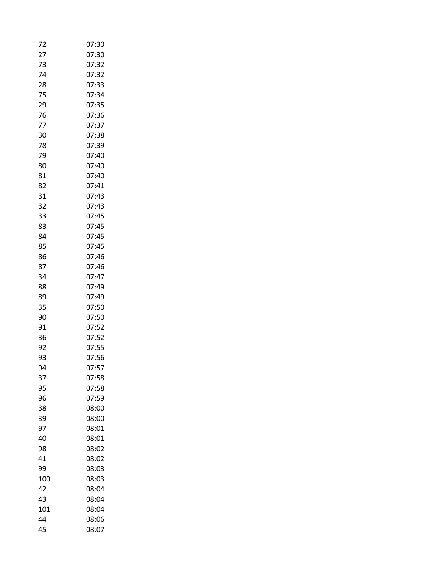| 72  | 07:30 |
|-----|-------|
| 27  | 07:30 |
| 73  | 07:32 |
| 74  | 07:32 |
| 28  | 07:33 |
| 75  | 07:34 |
| 29  | 07:35 |
| 76  | 07:36 |
| 77  | 07:37 |
| 30  | 07:38 |
| 78  | 07:39 |
| 79  | 07:40 |
| 80  | 07:40 |
| 81  | 07:40 |
| 82  | 07:41 |
| 31  | 07:43 |
| 32  | 07:43 |
| 33  | 07:45 |
| 83  | 07:45 |
| 84  | 07:45 |
| 85  | 07:45 |
| 86  | 07:46 |
| 87  | 07:46 |
| 34  | 07:47 |
| 88  | 07:49 |
| 89  | 07:49 |
| 35  | 07:50 |
| 90  | 07:50 |
| 91  | 07:52 |
| 36  | 07:52 |
| 92  | 07:55 |
| 93  | 07:56 |
| 94  | 07:57 |
| 37  | 07:58 |
| 95  | 07:58 |
| 96  | 07:59 |
| 38  | 08:00 |
| 39  | 08:00 |
| 97  | 08:01 |
| 40  | 08:01 |
| 98  | 08:02 |
| 41  | 08:02 |
| 99  | 08:03 |
| 100 | 08:03 |
| 42  | 08:04 |
| 43  | 08:04 |
| 101 | 08:04 |
| 44  | 08:06 |
| 45  | 08:07 |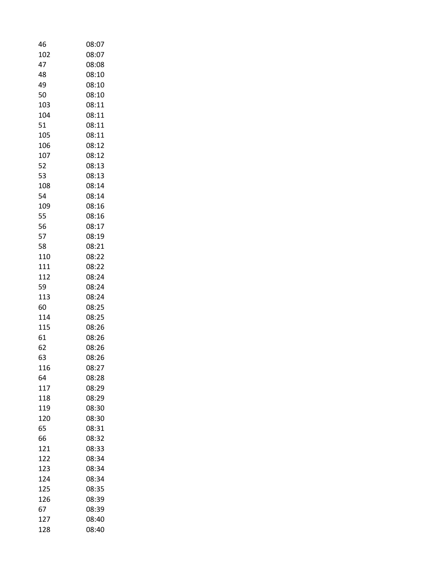| 46  | 08:07 |
|-----|-------|
| 102 | 08:07 |
| 47  | 08:08 |
| 48  | 08:10 |
| 49  | 08:10 |
| 50  | 08:10 |
|     |       |
| 103 | 08:11 |
| 104 | 08:11 |
| 51  | 08:11 |
| 105 | 08:11 |
| 106 | 08:12 |
| 107 | 08:12 |
| 52  | 08:13 |
| 53  | 08:13 |
| 108 | 08:14 |
| 54  | 08:14 |
| 109 | 08:16 |
| 55  | 08:16 |
| 56  | 08:17 |
| 57  | 08:19 |
| 58  | 08:21 |
|     |       |
| 110 | 08:22 |
| 111 | 08:22 |
| 112 | 08:24 |
| 59  | 08:24 |
| 113 | 08:24 |
| 60  | 08:25 |
| 114 | 08:25 |
| 115 | 08:26 |
| 61  | 08:26 |
| 62  | 08:26 |
| 63  | 08:26 |
| 116 | 08:27 |
| 64  | 08:28 |
| 117 | 08:29 |
| 118 | 08:29 |
| 119 | 08:30 |
| 120 |       |
|     | 08:30 |
| 65  | 08:31 |
| 66  | 08:32 |
| 121 | 08:33 |
| 122 | 08:34 |
| 123 | 08:34 |
| 124 | 08:34 |
| 125 | 08:35 |
| 126 | 08:39 |
| 67  | 08:39 |
| 127 | 08:40 |
| 128 | 08:40 |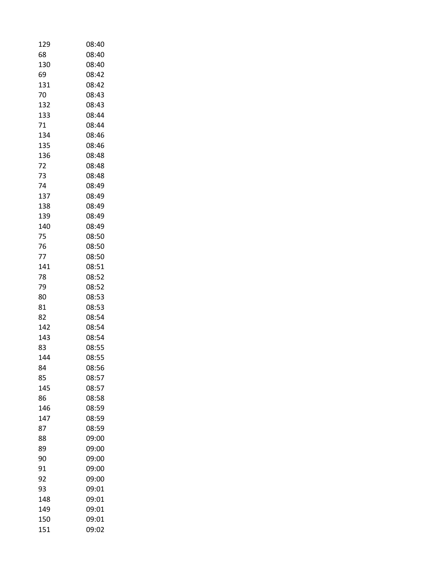| 129 | 08:40 |
|-----|-------|
| 68  | 08:40 |
| 130 | 08:40 |
| 69  | 08:42 |
| 131 | 08:42 |
| 70  | 08:43 |
| 132 | 08:43 |
| 133 | 08:44 |
| 71  | 08:44 |
| 134 | 08:46 |
| 135 | 08:46 |
| 136 | 08:48 |
| 72  | 08:48 |
| 73  | 08:48 |
| 74  | 08:49 |
| 137 | 08:49 |
| 138 | 08:49 |
| 139 | 08:49 |
| 140 | 08:49 |
| 75  | 08:50 |
| 76  | 08:50 |
| 77  | 08:50 |
| 141 | 08:51 |
| 78  | 08:52 |
| 79  | 08:52 |
| 80  | 08:53 |
| 81  | 08:53 |
| 82  | 08:54 |
| 142 | 08:54 |
| 143 | 08:54 |
| 83  | 08:55 |
| 144 | 08:55 |
| 84  | 08:56 |
| 85  | 08:57 |
| 145 | 08:57 |
| 86  | 08:58 |
| 146 | 08:59 |
| 147 | 08:59 |
| 87  | 08:59 |
| 88  | 09:00 |
| 89  | 09:00 |
| 90  | 09:00 |
| 91  | 09:00 |
| 92  | 09:00 |
| 93  | 09:01 |
| 148 | 09:01 |
| 149 | 09:01 |
| 150 | 09:01 |
| 151 | 09:02 |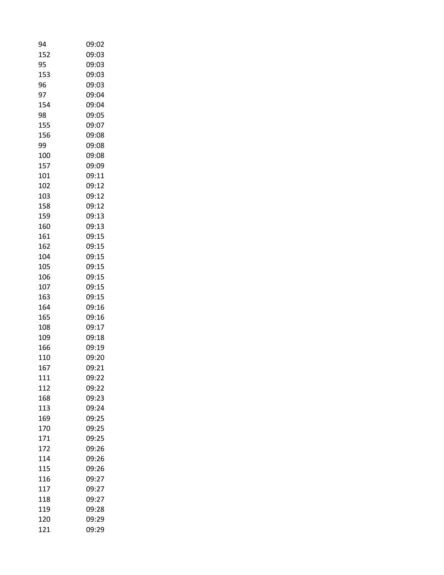| 94  | 09:02 |
|-----|-------|
| 152 | 09:03 |
| 95  | 09:03 |
| 153 | 09:03 |
| 96  | 09:03 |
| 97  | 09:04 |
| 154 | 09:04 |
| 98  | 09:05 |
| 155 | 09:07 |
| 156 | 09:08 |
| 99  | 09:08 |
| 100 | 09:08 |
| 157 | 09:09 |
| 101 | 09:11 |
| 102 | 09:12 |
| 103 | 09:12 |
| 158 | 09:12 |
| 159 | 09:13 |
| 160 | 09:13 |
| 161 | 09:15 |
| 162 | 09:15 |
| 104 | 09:15 |
| 105 | 09:15 |
| 106 | 09:15 |
| 107 | 09:15 |
| 163 | 09:15 |
| 164 | 09:16 |
| 165 | 09:16 |
|     | 09:17 |
| 108 |       |
| 109 | 09:18 |
| 166 | 09:19 |
| 110 | 09:20 |
| 167 | 09:21 |
| 111 | 09:22 |
| 112 | 09:22 |
| 168 | 09:23 |
| 113 | 09:24 |
| 169 | 09:25 |
| 170 | 09:25 |
| 171 | 09:25 |
| 172 | 09:26 |
| 114 | 09:26 |
| 115 | 09:26 |
| 116 | 09:27 |
| 117 | 09:27 |
| 118 | 09:27 |
| 119 | 09:28 |
| 120 | 09:29 |
| 121 | 09:29 |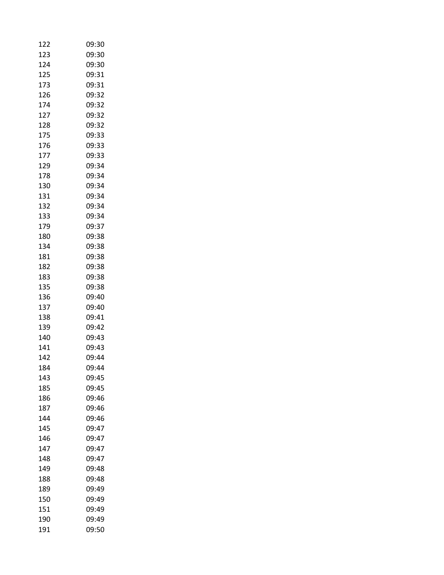| 122        | 09:30 |
|------------|-------|
| 123        | 09:30 |
| 124        | 09:30 |
| 125        | 09:31 |
| 173        | 09:31 |
| 126        | 09:32 |
| 174        | 09:32 |
| 127        | 09:32 |
| 128        | 09:32 |
| 175        | 09:33 |
| 176        | 09:33 |
| 177        | 09:33 |
| 129        | 09:34 |
| 178        | 09:34 |
| 130        | 09:34 |
| 131        | 09:34 |
| 132        | 09:34 |
| 133        | 09:34 |
| 179        | 09:37 |
| 180        | 09:38 |
| 134        | 09:38 |
| 181        | 09:38 |
| 182        | 09:38 |
| 183        | 09:38 |
| 135        | 09:38 |
| 136        | 09:40 |
| 137        | 09:40 |
| 138        | 09:41 |
| 139        | 09:42 |
| 140        | 09:43 |
| 141        | 09:43 |
| 142        | 09:44 |
| 184        | 09:44 |
|            |       |
| 143<br>185 | 09:45 |
|            | 09:45 |
| 186        | 09:46 |
| 187        | 09:46 |
| 144        | 09:46 |
| 145        | 09:47 |
| 146        | 09:47 |
| 147        | 09:47 |
| 148        | 09:47 |
| 149        | 09:48 |
| 188        | 09:48 |
| 189        | 09:49 |
| 150        | 09:49 |
| 151        | 09:49 |
| 190        | 09:49 |
| 191        | 09:50 |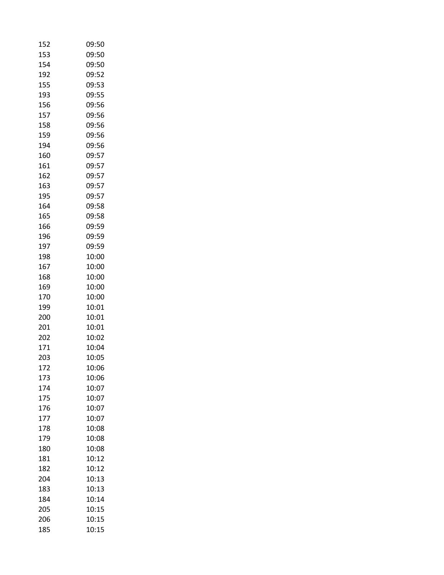| 152 | 09:50 |
|-----|-------|
| 153 | 09:50 |
| 154 | 09:50 |
| 192 | 09:52 |
| 155 | 09:53 |
| 193 | 09:55 |
| 156 | 09:56 |
| 157 | 09:56 |
| 158 | 09:56 |
| 159 | 09:56 |
| 194 | 09:56 |
| 160 | 09:57 |
| 161 | 09:57 |
| 162 | 09:57 |
| 163 | 09:57 |
| 195 | 09:57 |
| 164 | 09:58 |
| 165 | 09:58 |
| 166 | 09:59 |
| 196 | 09:59 |
| 197 | 09:59 |
| 198 | 10:00 |
| 167 | 10:00 |
| 168 | 10:00 |
| 169 | 10:00 |
| 170 | 10:00 |
| 199 | 10:01 |
| 200 | 10:01 |
| 201 | 10:01 |
| 202 | 10:02 |
| 171 | 10:04 |
| 203 | 10:05 |
| 172 | 10:06 |
| 173 | 10:06 |
| 174 | 10:07 |
| 175 | 10:07 |
| 176 | 10:07 |
| 177 | 10:07 |
| 178 | 10:08 |
| 179 | 10:08 |
| 180 | 10:08 |
| 181 | 10:12 |
| 182 | 10:12 |
| 204 | 10:13 |
| 183 | 10:13 |
| 184 | 10:14 |
| 205 | 10:15 |
| 206 | 10:15 |
| 185 | 10:15 |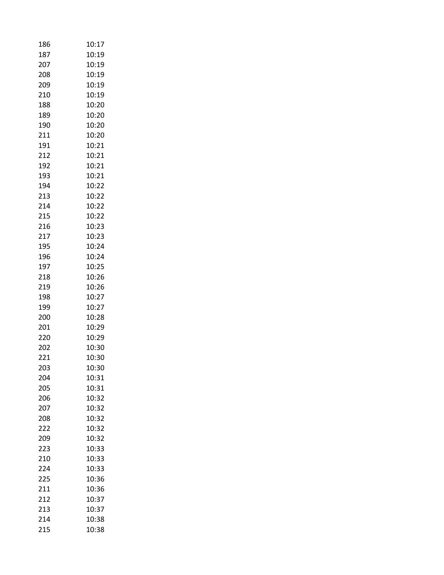| 186 | 10:17 |
|-----|-------|
| 187 | 10:19 |
| 207 | 10:19 |
| 208 | 10:19 |
| 209 | 10:19 |
| 210 | 10:19 |
| 188 | 10:20 |
| 189 | 10:20 |
| 190 | 10:20 |
| 211 | 10:20 |
| 191 | 10:21 |
| 212 | 10:21 |
| 192 | 10:21 |
| 193 | 10:21 |
| 194 | 10:22 |
| 213 | 10:22 |
| 214 | 10:22 |
| 215 | 10:22 |
| 216 | 10:23 |
| 217 | 10:23 |
| 195 | 10:24 |
| 196 | 10:24 |
| 197 | 10:25 |
| 218 | 10:26 |
| 219 | 10:26 |
| 198 | 10:27 |
| 199 | 10:27 |
| 200 | 10:28 |
| 201 | 10:29 |
| 220 | 10:29 |
| 202 | 10:30 |
| 221 | 10:30 |
| 203 | 10:30 |
| 204 | 10:31 |
| 205 | 10:31 |
| 206 | 10:32 |
| 207 | 10:32 |
| 208 | 10:32 |
| 222 | 10:32 |
| 209 | 10:32 |
| 223 | 10:33 |
| 210 | 10:33 |
| 224 | 10:33 |
| 225 | 10:36 |
| 211 | 10:36 |
| 212 | 10:37 |
| 213 | 10:37 |
| 214 | 10:38 |
| 215 | 10:38 |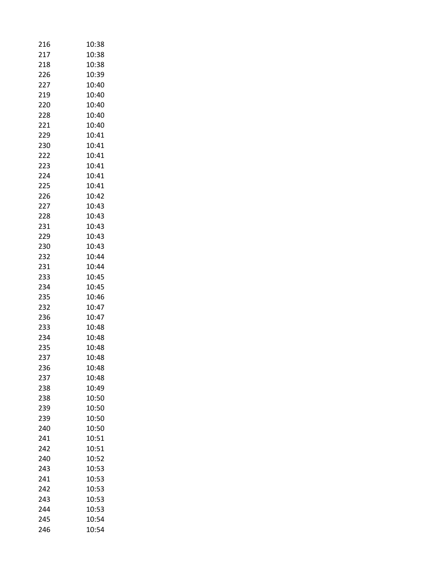| 216 | 10:38 |
|-----|-------|
| 217 | 10:38 |
| 218 | 10:38 |
| 226 | 10:39 |
| 227 | 10:40 |
| 219 | 10:40 |
| 220 | 10:40 |
| 228 | 10:40 |
| 221 | 10:40 |
| 229 | 10:41 |
| 230 | 10:41 |
| 222 | 10:41 |
| 223 | 10:41 |
| 224 | 10:41 |
| 225 | 10:41 |
| 226 | 10:42 |
| 227 | 10:43 |
| 228 | 10:43 |
| 231 | 10:43 |
| 229 | 10:43 |
| 230 | 10:43 |
| 232 | 10:44 |
| 231 | 10:44 |
| 233 | 10:45 |
| 234 | 10:45 |
| 235 | 10:46 |
| 232 | 10:47 |
| 236 | 10:47 |
| 233 | 10:48 |
| 234 | 10:48 |
| 235 | 10:48 |
| 237 | 10:48 |
| 236 | 10:48 |
| 237 | 10:48 |
| 238 | 10:49 |
| 238 | 10:50 |
| 239 | 10:50 |
| 239 | 10:50 |
| 240 | 10:50 |
| 241 | 10:51 |
| 242 | 10:51 |
| 240 | 10:52 |
| 243 | 10:53 |
| 241 | 10:53 |
| 242 | 10:53 |
| 243 | 10:53 |
| 244 | 10:53 |
| 245 | 10:54 |
| 246 | 10:54 |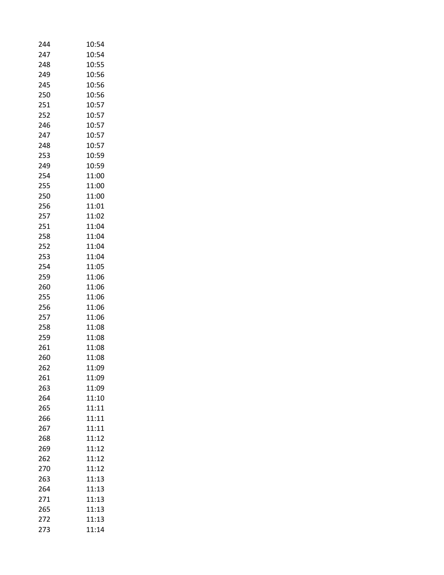| 244 | 10:54 |
|-----|-------|
| 247 | 10:54 |
| 248 | 10:55 |
| 249 | 10:56 |
| 245 | 10:56 |
| 250 | 10:56 |
| 251 | 10:57 |
| 252 | 10:57 |
| 246 | 10:57 |
| 247 | 10:57 |
| 248 | 10:57 |
| 253 | 10:59 |
| 249 | 10:59 |
| 254 | 11:00 |
| 255 | 11:00 |
| 250 | 11:00 |
| 256 | 11:01 |
| 257 | 11:02 |
| 251 | 11:04 |
| 258 | 11:04 |
| 252 | 11:04 |
| 253 | 11:04 |
| 254 | 11:05 |
| 259 | 11:06 |
| 260 | 11:06 |
| 255 | 11:06 |
| 256 | 11:06 |
| 257 | 11:06 |
| 258 | 11:08 |
| 259 | 11:08 |
| 261 | 11:08 |
| 260 | 11:08 |
| 262 | 11:09 |
| 261 | 11:09 |
| 263 | 11:09 |
| 264 | 11:10 |
| 265 | 11:11 |
| 266 | 11:11 |
| 267 | 11:11 |
| 268 | 11:12 |
| 269 | 11:12 |
| 262 | 11:12 |
| 270 | 11:12 |
| 263 | 11:13 |
| 264 | 11:13 |
| 271 | 11:13 |
| 265 | 11:13 |
| 272 | 11:13 |
| 273 | 11:14 |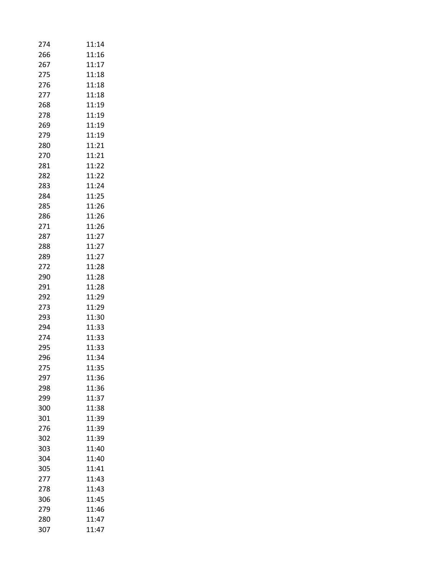| 274 | 11:14 |
|-----|-------|
| 266 | 11:16 |
| 267 | 11:17 |
| 275 | 11:18 |
| 276 | 11:18 |
| 277 | 11:18 |
| 268 | 11:19 |
| 278 | 11:19 |
| 269 | 11:19 |
| 279 | 11:19 |
| 280 | 11:21 |
| 270 | 11:21 |
| 281 | 11:22 |
| 282 | 11:22 |
| 283 | 11:24 |
| 284 | 11:25 |
| 285 | 11:26 |
| 286 | 11:26 |
| 271 | 11:26 |
| 287 | 11:27 |
| 288 | 11:27 |
| 289 | 11:27 |
| 272 | 11:28 |
| 290 | 11:28 |
| 291 | 11:28 |
| 292 | 11:29 |
| 273 | 11:29 |
| 293 | 11:30 |
| 294 | 11:33 |
| 274 | 11:33 |
| 295 | 11:33 |
| 296 | 11:34 |
| 275 | 11:35 |
| 297 | 11:36 |
| 298 | 11:36 |
| 299 | 11:37 |
| 300 | 11:38 |
| 301 | 11:39 |
| 276 | 11:39 |
| 302 | 11:39 |
| 303 | 11:40 |
| 304 | 11:40 |
| 305 | 11:41 |
| 277 | 11:43 |
| 278 | 11:43 |
| 306 | 11:45 |
| 279 | 11:46 |
| 280 | 11:47 |
|     | 11:47 |
| 307 |       |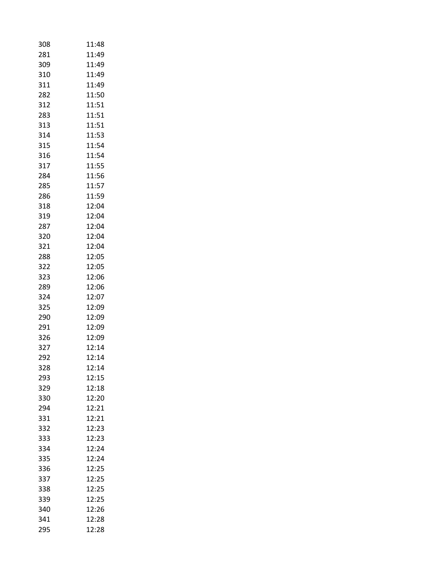| 308 | 11:48 |
|-----|-------|
| 281 | 11:49 |
| 309 | 11:49 |
| 310 | 11:49 |
| 311 | 11:49 |
| 282 | 11:50 |
| 312 | 11:51 |
| 283 | 11:51 |
| 313 | 11:51 |
| 314 | 11:53 |
| 315 | 11:54 |
| 316 | 11:54 |
| 317 | 11:55 |
| 284 | 11:56 |
| 285 | 11:57 |
| 286 | 11:59 |
| 318 | 12:04 |
| 319 | 12:04 |
| 287 | 12:04 |
| 320 | 12:04 |
| 321 | 12:04 |
| 288 | 12:05 |
| 322 | 12:05 |
| 323 | 12:06 |
| 289 | 12:06 |
| 324 | 12:07 |
| 325 | 12:09 |
| 290 | 12:09 |
| 291 | 12:09 |
| 326 | 12:09 |
| 327 | 12:14 |
| 292 | 12:14 |
| 328 | 12:14 |
| 293 | 12:15 |
| 329 | 12:18 |
| 330 | 12:20 |
| 294 | 12:21 |
| 331 | 12:21 |
| 332 | 12:23 |
| 333 | 12:23 |
| 334 | 12:24 |
| 335 | 12:24 |
| 336 | 12:25 |
| 337 | 12:25 |
| 338 | 12:25 |
| 339 | 12:25 |
| 340 | 12:26 |
| 341 | 12:28 |
| 295 | 12:28 |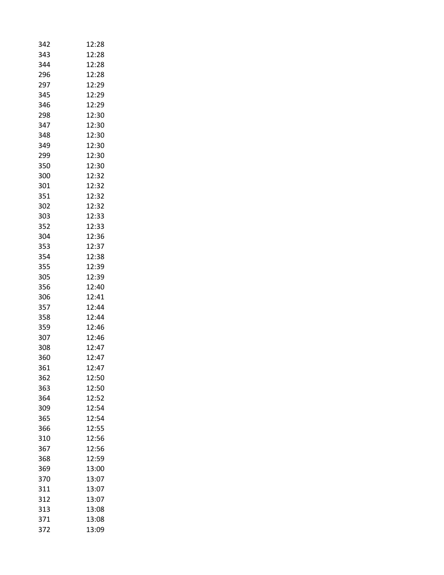| 343<br>12:28<br>344<br>12:28<br>296<br>12:28<br>297<br>12:29<br>345<br>12:29<br>346<br>12:29<br>12:30<br>298<br>347<br>12:30<br>348<br>12:30<br>349<br>12:30<br>299<br>12:30<br>350<br>12:30<br>300<br>12:32<br>301<br>12:32<br>351<br>12:32<br>302<br>12:32<br>12:33<br>303<br>352<br>12:33<br>304<br>12:36<br>353<br>12:37<br>354<br>12:38<br>355<br>12:39<br>12:39<br>305<br>356<br>12:40<br>306<br>12:41<br>357<br>12:44<br>358<br>12:44<br>359<br>12:46<br>12:46<br>307<br>12:47<br>308<br>360<br>12:47<br>361<br>12:47<br>12:50<br>362<br>12:50<br>363<br>12:52<br>364<br>12:54<br>309<br>365<br>12:54<br>12:55<br>366<br>12:56<br>310<br>367<br>12:56<br>12:59<br>368<br>369<br>13:00<br>370<br>13:07<br>311<br>13:07<br>312<br>13:07<br>313<br>13:08<br>371<br>13:08 | 342 | 12:28 |
|------------------------------------------------------------------------------------------------------------------------------------------------------------------------------------------------------------------------------------------------------------------------------------------------------------------------------------------------------------------------------------------------------------------------------------------------------------------------------------------------------------------------------------------------------------------------------------------------------------------------------------------------------------------------------------------------------------------------------------------------------------------------------|-----|-------|
|                                                                                                                                                                                                                                                                                                                                                                                                                                                                                                                                                                                                                                                                                                                                                                              |     |       |
|                                                                                                                                                                                                                                                                                                                                                                                                                                                                                                                                                                                                                                                                                                                                                                              |     |       |
|                                                                                                                                                                                                                                                                                                                                                                                                                                                                                                                                                                                                                                                                                                                                                                              |     |       |
|                                                                                                                                                                                                                                                                                                                                                                                                                                                                                                                                                                                                                                                                                                                                                                              |     |       |
|                                                                                                                                                                                                                                                                                                                                                                                                                                                                                                                                                                                                                                                                                                                                                                              |     |       |
|                                                                                                                                                                                                                                                                                                                                                                                                                                                                                                                                                                                                                                                                                                                                                                              |     |       |
|                                                                                                                                                                                                                                                                                                                                                                                                                                                                                                                                                                                                                                                                                                                                                                              |     |       |
|                                                                                                                                                                                                                                                                                                                                                                                                                                                                                                                                                                                                                                                                                                                                                                              |     |       |
|                                                                                                                                                                                                                                                                                                                                                                                                                                                                                                                                                                                                                                                                                                                                                                              |     |       |
|                                                                                                                                                                                                                                                                                                                                                                                                                                                                                                                                                                                                                                                                                                                                                                              |     |       |
|                                                                                                                                                                                                                                                                                                                                                                                                                                                                                                                                                                                                                                                                                                                                                                              |     |       |
|                                                                                                                                                                                                                                                                                                                                                                                                                                                                                                                                                                                                                                                                                                                                                                              |     |       |
|                                                                                                                                                                                                                                                                                                                                                                                                                                                                                                                                                                                                                                                                                                                                                                              |     |       |
|                                                                                                                                                                                                                                                                                                                                                                                                                                                                                                                                                                                                                                                                                                                                                                              |     |       |
|                                                                                                                                                                                                                                                                                                                                                                                                                                                                                                                                                                                                                                                                                                                                                                              |     |       |
|                                                                                                                                                                                                                                                                                                                                                                                                                                                                                                                                                                                                                                                                                                                                                                              |     |       |
|                                                                                                                                                                                                                                                                                                                                                                                                                                                                                                                                                                                                                                                                                                                                                                              |     |       |
|                                                                                                                                                                                                                                                                                                                                                                                                                                                                                                                                                                                                                                                                                                                                                                              |     |       |
|                                                                                                                                                                                                                                                                                                                                                                                                                                                                                                                                                                                                                                                                                                                                                                              |     |       |
|                                                                                                                                                                                                                                                                                                                                                                                                                                                                                                                                                                                                                                                                                                                                                                              |     |       |
|                                                                                                                                                                                                                                                                                                                                                                                                                                                                                                                                                                                                                                                                                                                                                                              |     |       |
|                                                                                                                                                                                                                                                                                                                                                                                                                                                                                                                                                                                                                                                                                                                                                                              |     |       |
|                                                                                                                                                                                                                                                                                                                                                                                                                                                                                                                                                                                                                                                                                                                                                                              |     |       |
|                                                                                                                                                                                                                                                                                                                                                                                                                                                                                                                                                                                                                                                                                                                                                                              |     |       |
|                                                                                                                                                                                                                                                                                                                                                                                                                                                                                                                                                                                                                                                                                                                                                                              |     |       |
|                                                                                                                                                                                                                                                                                                                                                                                                                                                                                                                                                                                                                                                                                                                                                                              |     |       |
|                                                                                                                                                                                                                                                                                                                                                                                                                                                                                                                                                                                                                                                                                                                                                                              |     |       |
|                                                                                                                                                                                                                                                                                                                                                                                                                                                                                                                                                                                                                                                                                                                                                                              |     |       |
|                                                                                                                                                                                                                                                                                                                                                                                                                                                                                                                                                                                                                                                                                                                                                                              |     |       |
|                                                                                                                                                                                                                                                                                                                                                                                                                                                                                                                                                                                                                                                                                                                                                                              |     |       |
|                                                                                                                                                                                                                                                                                                                                                                                                                                                                                                                                                                                                                                                                                                                                                                              |     |       |
|                                                                                                                                                                                                                                                                                                                                                                                                                                                                                                                                                                                                                                                                                                                                                                              |     |       |
|                                                                                                                                                                                                                                                                                                                                                                                                                                                                                                                                                                                                                                                                                                                                                                              |     |       |
|                                                                                                                                                                                                                                                                                                                                                                                                                                                                                                                                                                                                                                                                                                                                                                              |     |       |
|                                                                                                                                                                                                                                                                                                                                                                                                                                                                                                                                                                                                                                                                                                                                                                              |     |       |
|                                                                                                                                                                                                                                                                                                                                                                                                                                                                                                                                                                                                                                                                                                                                                                              |     |       |
|                                                                                                                                                                                                                                                                                                                                                                                                                                                                                                                                                                                                                                                                                                                                                                              |     |       |
|                                                                                                                                                                                                                                                                                                                                                                                                                                                                                                                                                                                                                                                                                                                                                                              |     |       |
|                                                                                                                                                                                                                                                                                                                                                                                                                                                                                                                                                                                                                                                                                                                                                                              |     |       |
|                                                                                                                                                                                                                                                                                                                                                                                                                                                                                                                                                                                                                                                                                                                                                                              |     |       |
|                                                                                                                                                                                                                                                                                                                                                                                                                                                                                                                                                                                                                                                                                                                                                                              |     |       |
|                                                                                                                                                                                                                                                                                                                                                                                                                                                                                                                                                                                                                                                                                                                                                                              |     |       |
|                                                                                                                                                                                                                                                                                                                                                                                                                                                                                                                                                                                                                                                                                                                                                                              |     |       |
|                                                                                                                                                                                                                                                                                                                                                                                                                                                                                                                                                                                                                                                                                                                                                                              |     |       |
|                                                                                                                                                                                                                                                                                                                                                                                                                                                                                                                                                                                                                                                                                                                                                                              |     |       |
|                                                                                                                                                                                                                                                                                                                                                                                                                                                                                                                                                                                                                                                                                                                                                                              |     |       |
|                                                                                                                                                                                                                                                                                                                                                                                                                                                                                                                                                                                                                                                                                                                                                                              |     |       |
|                                                                                                                                                                                                                                                                                                                                                                                                                                                                                                                                                                                                                                                                                                                                                                              | 372 | 13:09 |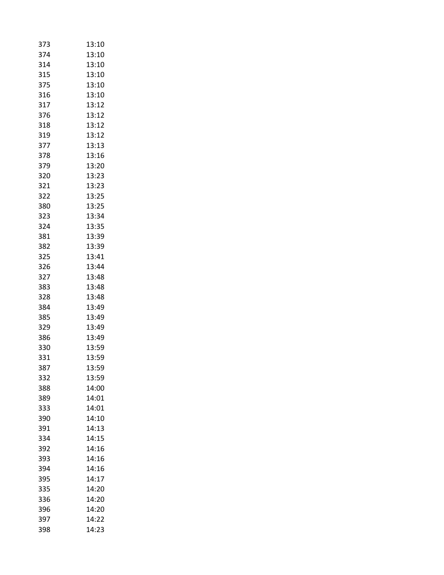| 373 | 13:10 |
|-----|-------|
| 374 | 13:10 |
| 314 | 13:10 |
| 315 | 13:10 |
| 375 | 13:10 |
| 316 | 13:10 |
| 317 | 13:12 |
| 376 | 13:12 |
| 318 | 13:12 |
| 319 | 13:12 |
| 377 | 13:13 |
| 378 | 13:16 |
| 379 | 13:20 |
| 320 | 13:23 |
| 321 | 13:23 |
| 322 | 13:25 |
| 380 | 13:25 |
| 323 | 13:34 |
| 324 | 13:35 |
| 381 | 13:39 |
| 382 | 13:39 |
| 325 | 13:41 |
| 326 | 13:44 |
| 327 | 13:48 |
| 383 | 13:48 |
| 328 | 13:48 |
| 384 | 13:49 |
| 385 | 13:49 |
| 329 | 13:49 |
| 386 | 13:49 |
| 330 | 13:59 |
| 331 | 13:59 |
| 387 | 13:59 |
| 332 | 13:59 |
| 388 | 14:00 |
| 389 | 14:01 |
| 333 | 14:01 |
| 390 | 14:10 |
| 391 | 14:13 |
| 334 | 14:15 |
| 392 | 14:16 |
| 393 | 14:16 |
| 394 | 14:16 |
| 395 | 14:17 |
| 335 | 14:20 |
| 336 | 14:20 |
| 396 | 14:20 |
| 397 | 14:22 |
| 398 | 14:23 |
|     |       |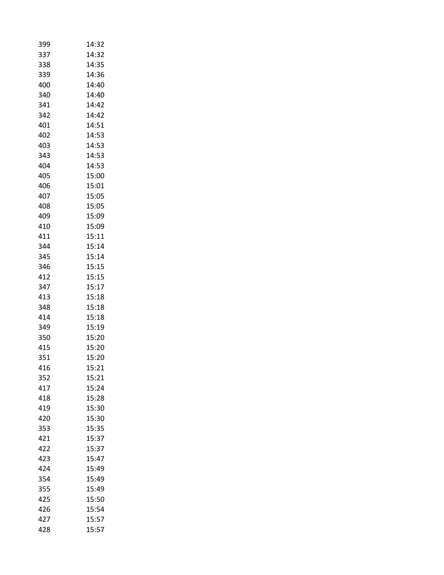| 399 | 14:32 |
|-----|-------|
| 337 | 14:32 |
| 338 | 14:35 |
| 339 | 14:36 |
| 400 | 14:40 |
| 340 | 14:40 |
| 341 | 14:42 |
| 342 | 14:42 |
| 401 | 14:51 |
| 402 | 14:53 |
| 403 | 14:53 |
| 343 | 14:53 |
| 404 | 14:53 |
| 405 | 15:00 |
| 406 | 15:01 |
| 407 | 15:05 |
| 408 | 15:05 |
| 409 | 15:09 |
| 410 | 15:09 |
| 411 | 15:11 |
| 344 | 15:14 |
| 345 | 15:14 |
| 346 | 15:15 |
| 412 | 15:15 |
| 347 | 15:17 |
| 413 | 15:18 |
| 348 | 15:18 |
| 414 | 15:18 |
| 349 | 15:19 |
| 350 | 15:20 |
| 415 | 15:20 |
| 351 | 15:20 |
| 416 | 15:21 |
| 352 | 15:21 |
| 417 | 15:24 |
| 418 | 15:28 |
| 419 | 15:30 |
| 420 | 15:30 |
| 353 | 15:35 |
| 421 | 15:37 |
| 422 | 15:37 |
| 423 | 15:47 |
| 424 | 15:49 |
| 354 | 15:49 |
| 355 | 15:49 |
| 425 | 15:50 |
| 426 | 15:54 |
| 427 | 15:57 |
| 428 | 15:57 |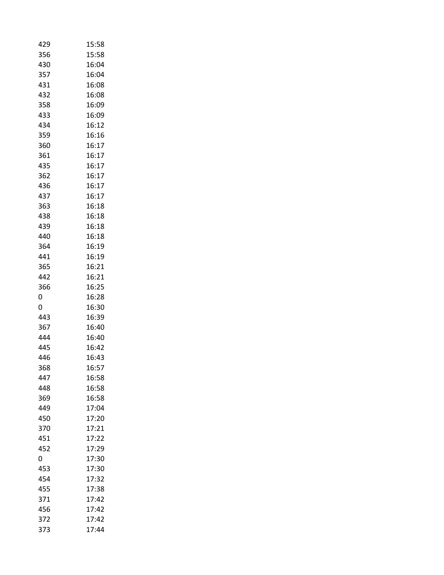| 429        | 15:58          |
|------------|----------------|
| 356        | 15:58          |
| 430        | 16:04          |
| 357        | 16:04          |
| 431        | 16:08          |
| 432        | 16:08          |
| 358        | 16:09          |
| 433        | 16:09          |
| 434        | 16:12          |
| 359        | 16:16          |
| 360        | 16:17          |
| 361        | 16:17          |
| 435        | 16:17          |
| 362        | 16:17          |
| 436        | 16:17          |
| 437        | 16:17          |
| 363        | 16:18          |
| 438        | 16:18          |
| 439        | 16:18          |
| 440        | 16:18          |
| 364        | 16:19          |
| 441        | 16:19          |
| 365        | 16:21          |
| 442        | 16:21          |
| 366        | 16:25          |
| 0          | 16:28          |
| 0          | 16:30          |
| 443        | 16:39          |
| 367        | 16:40          |
| 444        | 16:40          |
| 445        | 16:42          |
| 446        | 16:43          |
| 368        | 16:57          |
| 447        | 16:58          |
| 448        | 16:58          |
| 369        | 16:58          |
| 449        | 17:04          |
| 450        | 17:20          |
| 370        | 17:21          |
| 451        | 17:22          |
| 452        | 17:29          |
| 0          | 17:30          |
| 453        |                |
|            |                |
|            | 17:30          |
| 454        | 17:32          |
| 455        | 17:38          |
| 371        | 17:42          |
| 456        | 17:42          |
| 372<br>373 | 17:42<br>17:44 |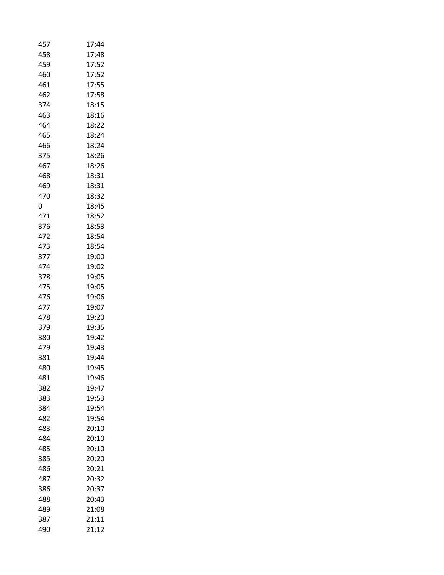| 457 | 17:44 |
|-----|-------|
| 458 | 17:48 |
| 459 | 17:52 |
| 460 | 17:52 |
| 461 | 17:55 |
| 462 | 17:58 |
| 374 | 18:15 |
| 463 | 18:16 |
| 464 | 18:22 |
| 465 | 18:24 |
| 466 | 18:24 |
| 375 | 18:26 |
| 467 | 18:26 |
| 468 | 18:31 |
| 469 | 18:31 |
| 470 | 18:32 |
| 0   | 18:45 |
| 471 | 18:52 |
| 376 | 18:53 |
| 472 | 18:54 |
| 473 | 18:54 |
| 377 | 19:00 |
| 474 | 19:02 |
| 378 | 19:05 |
| 475 | 19:05 |
| 476 | 19:06 |
| 477 | 19:07 |
| 478 | 19:20 |
| 379 | 19:35 |
| 380 | 19:42 |
| 479 | 19:43 |
| 381 | 19:44 |
| 480 | 19:45 |
| 481 | 19:46 |
| 382 | 19:47 |
| 383 | 19:53 |
| 384 | 19:54 |
| 482 | 19:54 |
| 483 | 20:10 |
| 484 | 20:10 |
| 485 | 20:10 |
| 385 | 20:20 |
| 486 | 20:21 |
| 487 | 20:32 |
| 386 | 20:37 |
| 488 | 20:43 |
| 489 | 21:08 |
| 387 | 21:11 |
| 490 | 21:12 |